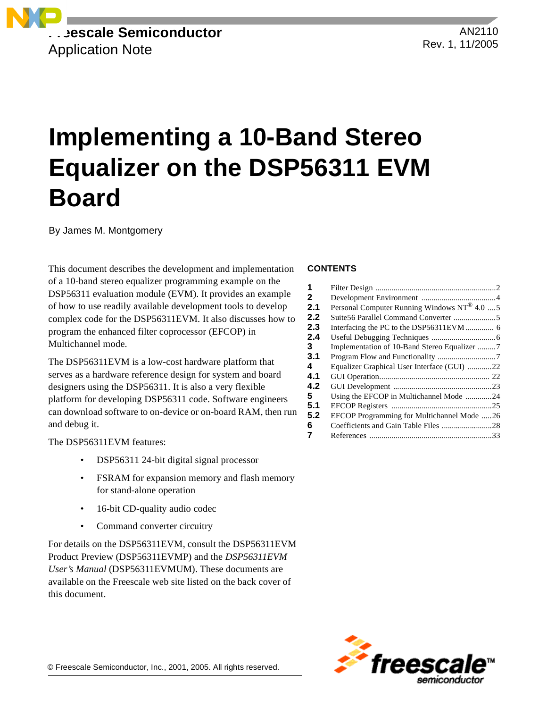

AN2110 Rev. 1, 11/2005

# **Implementing a 10-Band Stereo Equalizer on the DSP56311 EVM Board**

By James M. Montgomery

This document describes the development and implementation of a 10-band stereo equalizer programming example on the DSP56311 evaluation module (EVM). It provides an example of how to use readily available development tools to develop complex code for the DSP56311EVM. It also discusses how to program the enhanced filter coprocessor (EFCOP) in Multichannel mode.

The DSP56311EVM is a low-cost hardware platform that serves as a hardware reference design for system and board designers using the DSP56311. It is also a very flexible platform for developing DSP56311 code. Software engineers can download software to on-device or on-board RAM, then run and debug it.

The DSP56311EVM features:

- DSP56311 24-bit digital signal processor
- FSRAM for expansion memory and flash memory for stand-alone operation
- 16-bit CD-quality audio codec
- Command converter circuitry

For details on the DSP56311EVM, consult the DSP56311EVM Product Preview (DSP56311EVMP) and the *DSP56311EVM User's Manual* (DSP56311EVMUM). These documents are available on the Freescale web site listed on the back cover of this document.

### **CONTENTS**

| 1   |                                                         |  |
|-----|---------------------------------------------------------|--|
|     |                                                         |  |
| 2   |                                                         |  |
| 2.1 | Personal Computer Running Windows NT <sup>®</sup> 4.0 5 |  |
| 2.2 |                                                         |  |
| 2.3 |                                                         |  |
| 2.4 |                                                         |  |
| 3   | Implementation of 10-Band Stereo Equalizer 7            |  |
| 3.1 |                                                         |  |
| 4   | Equalizer Graphical User Interface (GUI) 22             |  |
| 4.1 |                                                         |  |
| 4.2 |                                                         |  |
| 5   | Using the EFCOP in Multichannel Mode 24                 |  |
| 5.1 |                                                         |  |
| 5.2 | EFCOP Programming for Multichannel Mode 26              |  |
| 6   |                                                         |  |
| 7   |                                                         |  |

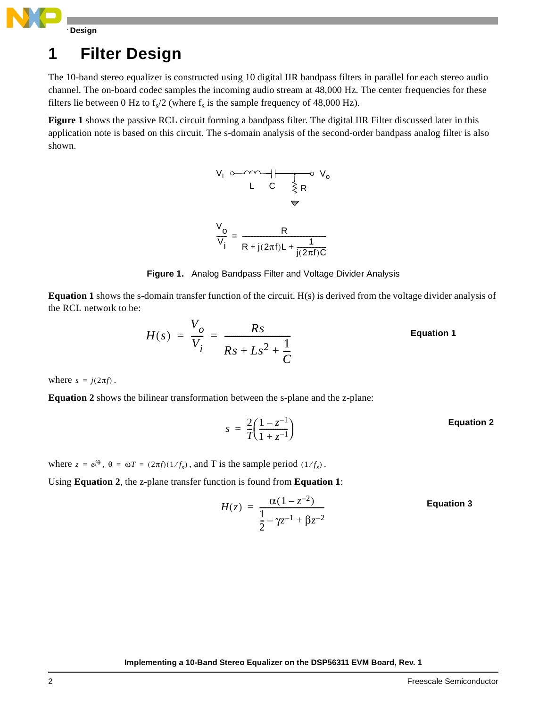

## <span id="page-1-1"></span>**1 Filter Design**

The 10-band stereo equalizer is constructed using 10 digital IIR bandpass filters in parallel for each stereo audio channel. The on-board codec samples the incoming audio stream at 48,000 Hz. The center frequencies for these filters lie between 0 Hz to  $f_s/2$  (where  $f_s$  is the sample frequency of 48,000 Hz).

**[Figure 1](#page-1-0)** shows the passive RCL circuit forming a bandpass filter. The digital IIR Filter discussed later in this application note is based on this circuit. The s-domain analysis of the second-order bandpass analog filter is also shown.



**Figure 1.** Analog Bandpass Filter and Voltage Divider Analysis

<span id="page-1-0"></span>**Equation 1** shows the s-domain transfer function of the circuit. H(s) is derived from the voltage divider analysis of the RCL network to be:

$$
H(s) = \frac{V_o}{V_i} = \frac{Rs}{Rs + Ls^2 + \frac{1}{C}}
$$
 Equation 1

where  $s = j(2\pi f)$ .

**Equation 2** shows the bilinear transformation between the s-plane and the z-plane:

$$
s = \frac{2}{7} \left( \frac{1 - z^{-1}}{1 + z^{-1}} \right)
$$
 Equation 2

where  $z = e^{j\theta}$ ,  $\theta = \omega T = (2\pi f)(1/f_s)$ , and T is the sample period  $(1/f_s)$ .

Using **Equation 2**, the z-plane transfer function is found from **Equation 1**:

$$
H(z) = \frac{\alpha(1 - z^{-2})}{\frac{1}{2} - \gamma z^{-1} + \beta z^{-2}}
$$
 Equation 3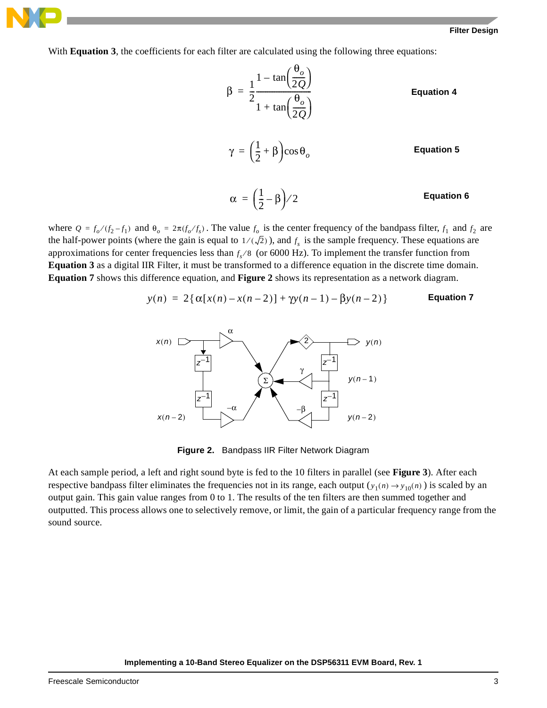With **Equation 3**, the coefficients for each filter are calculated using the following three equations:

$$
\beta = \frac{1}{2} \frac{1 - \tan\left(\frac{\theta_o}{2Q}\right)}{1 + \tan\left(\frac{\theta_o}{2Q}\right)}
$$
 Equation 4  

$$
\gamma = \left(\frac{1}{2} + \beta\right)\cos\theta_o
$$
 Equation 5  

$$
\alpha = \left(\frac{1}{2} - \beta\right)/2
$$
 Equation 6

where  $Q = f_o/(f_2 - f_1)$  and  $\theta_o = 2\pi (f_o/f_s)$ . The value  $f_o$  is the center frequency of the bandpass filter,  $f_1$  and  $f_2$  are the half-power points (where the gain is equal to  $1/(\sqrt{2})$ ), and  $f_s$  is the sample frequency. These equations are approximations for center frequencies less than  $f_s$  /8 (or 6000 Hz). To implement the transfer function from **Equation 3** as a digital IIR Filter, it must be transformed to a difference equation in the discrete time domain. **Equation 7** shows this difference equation, and **[Figure 2](#page-2-0)** shows its representation as a network diagram.

$$
y(n) = 2\{\alpha[x(n) - x(n-2)] + \gamma y(n-1) - \beta y(n-2)\}
$$
 Equation 7



**Figure 2.** Bandpass IIR Filter Network Diagram

<span id="page-2-0"></span>At each sample period, a left and right sound byte is fed to the 10 filters in parallel (see **[Figure 3](#page-3-0)**). After each respective bandpass filter eliminates the frequencies not in its range, each output  $(y_1(n) \rightarrow y_{10}(n))$  is scaled by an output gain. This gain value ranges from 0 to 1. The results of the ten filters are then summed together and outputted. This process allows one to selectively remove, or limit, the gain of a particular frequency range from the sound source.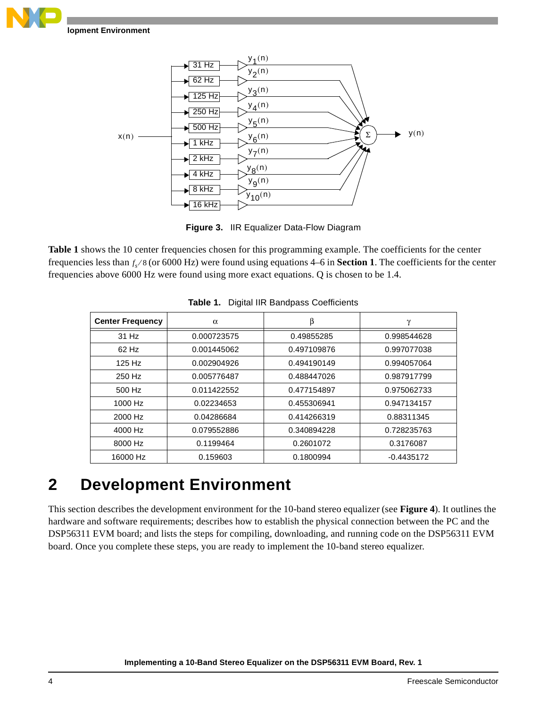



**Figure 3.** IIR Equalizer Data-Flow Diagram

<span id="page-3-0"></span>**[Table 1](#page-3-1)** shows the 10 center frequencies chosen for this programming example. The coefficients for the center frequencies less than  $f_s$ /8 (or 6000 Hz) were found using equations 4–6 in **[Section 1](#page-1-1)**. The coefficients for the center frequencies above 6000 Hz were found using more exact equations. Q is chosen to be 1.4.

<span id="page-3-1"></span>

| <b>Center Frequency</b> | $\alpha$    | β           | γ            |
|-------------------------|-------------|-------------|--------------|
| $31$ Hz                 | 0.000723575 | 0.49855285  | 0.998544628  |
| $62$ Hz                 | 0.001445062 | 0.497109876 | 0.997077038  |
| 125 Hz                  | 0.002904926 | 0.494190149 | 0.994057064  |
| 250 Hz                  | 0.005776487 | 0.488447026 | 0.987917799  |
| 500 Hz                  | 0.011422552 | 0.477154897 | 0.975062733  |
| 1000 Hz                 | 0.02234653  | 0.455306941 | 0.947134157  |
| 2000 Hz                 | 0.04286684  | 0.414266319 | 0.88311345   |
| 4000 Hz                 | 0.079552886 | 0.340894228 | 0.728235763  |
| 8000 Hz                 | 0.1199464   | 0.2601072   | 0.3176087    |
| 16000 Hz                | 0.159603    | 0.1800994   | $-0.4435172$ |

|  |  | Table 1. Digital IIR Bandpass Coefficients |  |
|--|--|--------------------------------------------|--|
|--|--|--------------------------------------------|--|

## **2 Development Environment**

This section describes the development environment for the 10-band stereo equalizer (see **[Figure 4](#page-4-0)**). It outlines the hardware and software requirements; describes how to establish the physical connection between the PC and the DSP56311 EVM board; and lists the steps for compiling, downloading, and running code on the DSP56311 EVM board. Once you complete these steps, you are ready to implement the 10-band stereo equalizer.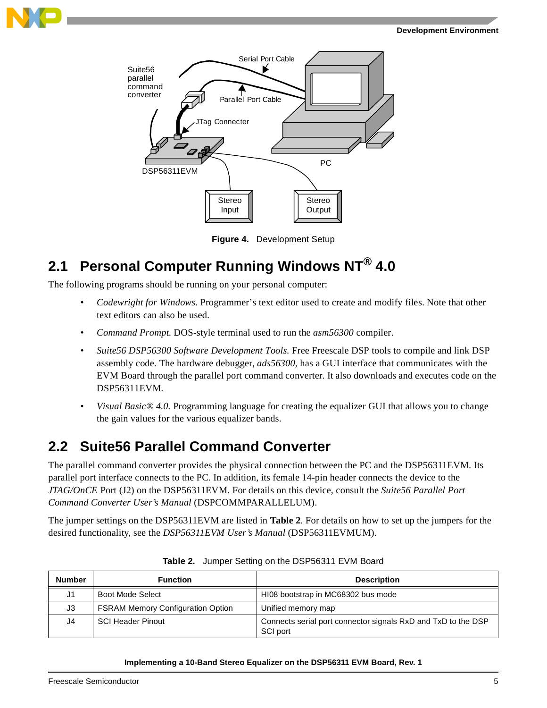





**Figure 4.** Development Setup

## <span id="page-4-0"></span>**2.1 Personal Computer Running Windows NT® 4.0**

The following programs should be running on your personal computer:

- *Codewright for Windows*. Programmer's text editor used to create and modify files. Note that other text editors can also be used.
- *Command Prompt.* DOS-style terminal used to run the *asm56300* compiler.
- *Suite56 DSP56300 Software Development Tools.* Free Freescale DSP tools to compile and link DSP assembly code. The hardware debugger, *ads56300,* has a GUI interface that communicates with the EVM Board through the parallel port command converter. It also downloads and executes code on the DSP56311EVM.
- *Visual Basic® 4.0.* Programming language for creating the equalizer GUI that allows you to change the gain values for the various equalizer bands.

## **2.2 Suite56 Parallel Command Converter**

The parallel command converter provides the physical connection between the PC and the DSP56311EVM. Its parallel port interface connects to the PC. In addition, its female 14-pin header connects the device to the *JTAG/OnCE* Port (J2) on the DSP56311EVM. For details on this device, consult the *Suite56 Parallel Port Command Converter User's Manual* (DSPCOMMPARALLELUM).

The jumper settings on the DSP56311EVM are listed in **[Table 2](#page-4-1)**. For details on how to set up the jumpers for the desired functionality, see the *DSP56311EVM User's Manual* (DSP56311EVMUM).

<span id="page-4-1"></span>

| <b>Number</b> | <b>Function</b>                          | <b>Description</b>                                                        |
|---------------|------------------------------------------|---------------------------------------------------------------------------|
| J1            | Boot Mode Select                         | HI08 bootstrap in MC68302 bus mode                                        |
| J3            | <b>FSRAM Memory Configuration Option</b> | Unified memory map                                                        |
| J4            | <b>SCI Header Pinout</b>                 | Connects serial port connector signals RxD and TxD to the DSP<br>SCI port |

**Table 2.** Jumper Setting on the DSP56311 EVM Board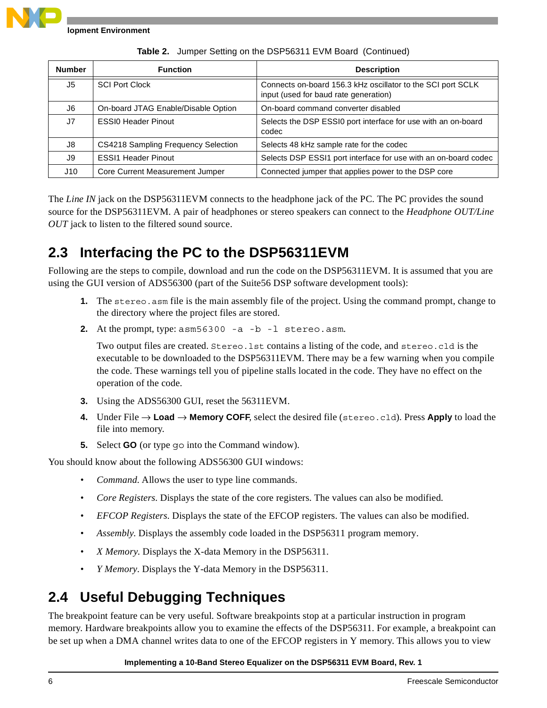

| <b>Number</b>  | <b>Function</b>                     | <b>Description</b>                                                                                   |
|----------------|-------------------------------------|------------------------------------------------------------------------------------------------------|
| J5             | <b>SCI Port Clock</b>               | Connects on-board 156.3 kHz oscillator to the SCI port SCLK<br>input (used for baud rate generation) |
| J6             | On-board JTAG Enable/Disable Option | On-board command converter disabled                                                                  |
| J <sub>7</sub> | <b>ESSIO Header Pinout</b>          | Selects the DSP ESSI0 port interface for use with an on-board<br>codec                               |
| J8             | CS4218 Sampling Frequency Selection | Selects 48 kHz sample rate for the codec                                                             |
| J9             | <b>ESSI1 Header Pinout</b>          | Selects DSP ESSI1 port interface for use with an on-board codec                                      |
| J10            | Core Current Measurement Jumper     | Connected jumper that applies power to the DSP core                                                  |

**Table 2.** Jumper Setting on the DSP56311 EVM Board (Continued)

The *Line IN* jack on the DSP56311EVM connects to the headphone jack of the PC. The PC provides the sound source for the DSP56311EVM. A pair of headphones or stereo speakers can connect to the *Headphone OUT/Line OUT* jack to listen to the filtered sound source.

## **2.3 Interfacing the PC to the DSP56311EVM**

Following are the steps to compile, download and run the code on the DSP56311EVM. It is assumed that you are using the GUI version of ADS56300 (part of the Suite56 DSP software development tools):

- **1.** The stereo. asm file is the main assembly file of the project. Using the command prompt, change to the directory where the project files are stored.
- **2.** At the prompt, type: asm56300 -a -b -l stereo.asm.

Two output files are created. Stereo.lst contains a listing of the code, and stereo.cld is the executable to be downloaded to the DSP56311EVM. There may be a few warning when you compile the code. These warnings tell you of pipeline stalls located in the code. They have no effect on the operation of the code.

- **3.** Using the ADS56300 GUI, reset the 56311EVM.
- **4.** Under File → **Load** → **Memory COFF***,* select the desired file (stereo.cld). Press **Apply** to load the file into memory.
- **5.** Select **GO** (or type go into the Command window).

You should know about the following ADS56300 GUI windows:

- *Command.* Allows the user to type line commands.
- *Core Registers.* Displays the state of the core registers. The values can also be modified.
- *EFCOP Registers.* Displays the state of the EFCOP registers. The values can also be modified.
- *Assembly.* Displays the assembly code loaded in the DSP56311 program memory.
- *X Memory.* Displays the X-data Memory in the DSP56311.
- *Y Memory.* Displays the Y-data Memory in the DSP56311.

## **2.4 Useful Debugging Techniques**

The breakpoint feature can be very useful. Software breakpoints stop at a particular instruction in program memory. Hardware breakpoints allow you to examine the effects of the DSP56311. For example, a breakpoint can be set up when a DMA channel writes data to one of the EFCOP registers in Y memory. This allows you to view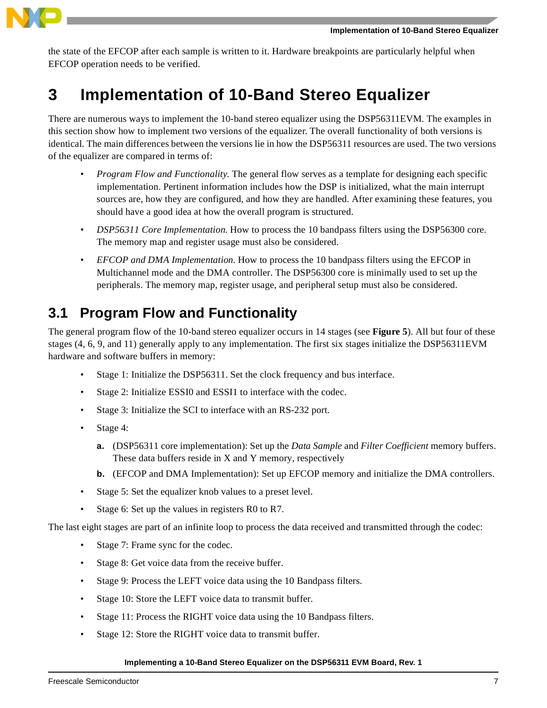

the state of the EFCOP after each sample is written to it. Hardware breakpoints are particularly helpful when EFCOP operation needs to be verified.

## **3 Implementation of 10-Band Stereo Equalizer**

There are numerous ways to implement the 10-band stereo equalizer using the DSP56311EVM. The examples in this section show how to implement two versions of the equalizer. The overall functionality of both versions is identical. The main differences between the versions lie in how the DSP56311 resources are used. The two versions of the equalizer are compared in terms of:

- *Program Flow and Functionality.* The general flow serves as a template for designing each specific implementation. Pertinent information includes how the DSP is initialized, what the main interrupt sources are, how they are configured, and how they are handled. After examining these features, you should have a good idea at how the overall program is structured.
- *DSP56311 Core Implementation*. How to process the 10 bandpass filters using the DSP56300 core. The memory map and register usage must also be considered.
- *EFCOP and DMA Implementation.* How to process the 10 bandpass filters using the EFCOP in Multichannel mode and the DMA controller. The DSP56300 core is minimally used to set up the peripherals. The memory map, register usage, and peripheral setup must also be considered.

## **3.1 Program Flow and Functionality**

The general program flow of the 10-band stereo equalizer occurs in 14 stages (see **[Figure 5](#page-7-0)**). All but four of these stages (4, 6, 9, and 11) generally apply to any implementation. The first six stages initialize the DSP56311EVM hardware and software buffers in memory:

- Stage 1: Initialize the DSP56311. Set the clock frequency and bus interface.
- Stage 2: Initialize ESSI0 and ESSI1 to interface with the codec.
- Stage 3: Initialize the SCI to interface with an RS-232 port.
- Stage 4:
	- **a.** (DSP56311 core implementation): Set up the *Data Sample* and *Filter Coefficient* memory buffers. These data buffers reside in X and Y memory, respectively
	- **b.** (EFCOP and DMA Implementation): Set up EFCOP memory and initialize the DMA controllers.
- Stage 5: Set the equalizer knob values to a preset level.
- Stage 6: Set up the values in registers R0 to R7.

The last eight stages are part of an infinite loop to process the data received and transmitted through the codec:

- Stage 7: Frame sync for the codec.
- Stage 8: Get voice data from the receive buffer.
- Stage 9: Process the LEFT voice data using the 10 Bandpass filters.
- Stage 10: Store the LEFT voice data to transmit buffer.
- Stage 11: Process the RIGHT voice data using the 10 Bandpass filters.
- Stage 12: Store the RIGHT voice data to transmit buffer.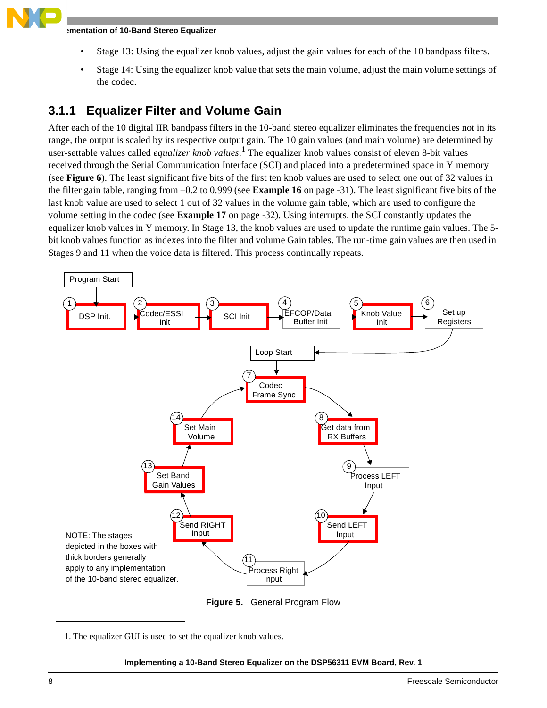- Stage 13: Using the equalizer knob values, adjust the gain values for each of the 10 bandpass filters.
- Stage 14: Using the equalizer knob value that sets the main volume, adjust the main volume settings of the codec.

### <span id="page-7-1"></span>**3.1.1 Equalizer Filter and Volume Gain**

After each of the 10 digital IIR bandpass filters in the 10-band stereo equalizer eliminates the frequencies not in its range, the output is scaled by its respective output gain. The 10 gain values (and main volume) are determined by user-settable values called *equalizer knob values*. 1 The equalizer knob values consist of eleven 8-bit values received through the Serial Communication Interface (SCI) and placed into a predetermined space in Y memory (see **[Figure 6](#page-8-0)**). The least significant five bits of the first ten knob values are used to select one out of 32 values in the filter gain table, ranging from –0.2 to 0.999 (see **[Example 16](#page-30-0)** on page -31). The least significant five bits of the last knob value are used to select 1 out of 32 values in the volume gain table, which are used to configure the volume setting in the codec (see **[Example 17](#page-31-0)** on page -32). Using interrupts, the SCI constantly updates the equalizer knob values in Y memory. In Stage 13, the knob values are used to update the runtime gain values. The 5 bit knob values function as indexes into the filter and volume Gain tables. The run-time gain values are then used in Stages 9 and 11 when the voice data is filtered. This process continually repeats.



**Figure 5.** General Program Flow

<span id="page-7-0"></span><sup>1.</sup> The equalizer GUI is used to set the equalizer knob values.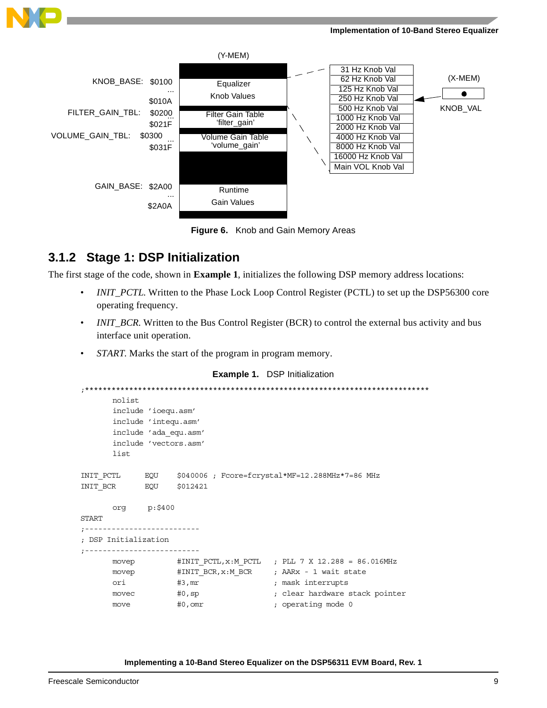



**Figure 6.** Knob and Gain Memory Areas

### <span id="page-8-0"></span>**3.1.2 Stage 1: DSP Initialization**

The first stage of the code, shown in **[Example 1](#page-8-1)**, initializes the following DSP memory address locations:

- *INIT\_PCTL*. Written to the Phase Lock Loop Control Register (PCTL) to set up the DSP56300 core operating frequency.
- *INIT\_BCR*. Written to the Bus Control Register (BCR) to control the external bus activity and bus interface unit operation.
- *START*. Marks the start of the program in program memory.

### **Example 1.** DSP Initialization

```
;******************************************************************************
       nolist
       include 'ioequ.asm'
       include 'intequ.asm'
       include 'ada_equ.asm'
        include 'vectors.asm'
       list
INIT_PCTL EQU $040006 ; Fcore=fcrystal*MF=12.288MHz*7=86 MHz
INIT_BCR EQU $012421
      org p:$400
START
;--------------------------
; DSP Initialization
;--------------------------
      movep #INIT_PCTL,x:M_PCTL ; PLL 7 X 12.288 = 86.016MHz
      movep #INIT_BCR, x:M_BCR ; AARx - 1 wait state
      ori #3, mr ; mask interrupts
      movec \#0, sp \qquad \qquad ; clear hardware stack pointer
      move #0, \text{omr} ; operating mode 0
```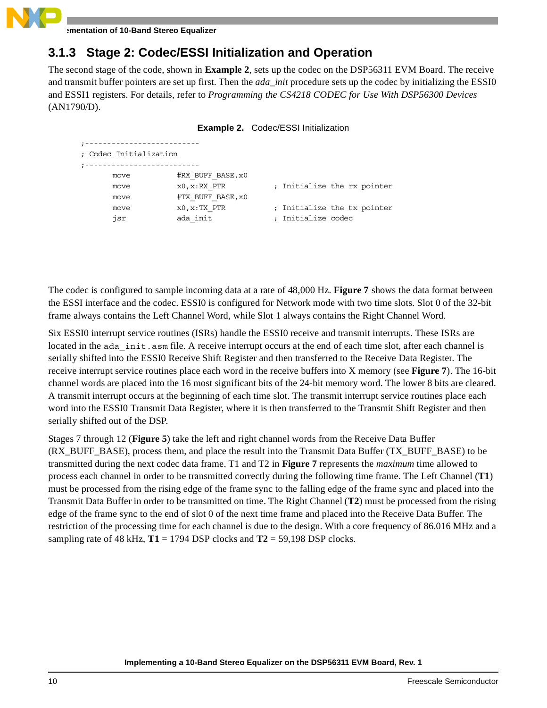

### **3.1.3 Stage 2: Codec/ESSI Initialization and Operation**

The second stage of the code, shown in **[Example 2](#page-9-0)**, sets up the codec on the DSP56311 EVM Board. The receive and transmit buffer pointers are set up first. Then the *ada\_init* procedure sets up the codec by initializing the ESSI0 and ESSI1 registers. For details, refer to *Programming the CS4218 CODEC for Use With DSP56300 Devices*  (AN1790/D).

|  | <b>Example 2. Codec/ESSI Initialization</b> |  |
|--|---------------------------------------------|--|
|--|---------------------------------------------|--|

<span id="page-9-0"></span>

| ; Codec Initialization |                                      |                                                   |
|------------------------|--------------------------------------|---------------------------------------------------|
| move                   | #RX BUFF BASE, x0                    |                                                   |
| move<br>move           | $x0, x: RX$ PTR<br>#TX BUFF BASE, x0 | ; Initialize the rx pointer                       |
| move<br>isr            | $x0, x:TX$ PTR<br>ada init           | ; Initialize the tx pointer<br>: Initialize codec |

The codec is configured to sample incoming data at a rate of 48,000 Hz. **[Figure 7](#page-10-0)** shows the data format between the ESSI interface and the codec. ESSI0 is configured for Network mode with two time slots. Slot 0 of the 32-bit frame always contains the Left Channel Word, while Slot 1 always contains the Right Channel Word.

Six ESSI0 interrupt service routines (ISRs) handle the ESSI0 receive and transmit interrupts. These ISRs are located in the ada init. asm file. A receive interrupt occurs at the end of each time slot, after each channel is serially shifted into the ESSI0 Receive Shift Register and then transferred to the Receive Data Register. The receive interrupt service routines place each word in the receive buffers into X memory (see **[Figure 7](#page-10-0)**). The 16-bit channel words are placed into the 16 most significant bits of the 24-bit memory word. The lower 8 bits are cleared. A transmit interrupt occurs at the beginning of each time slot. The transmit interrupt service routines place each word into the ESSI0 Transmit Data Register, where it is then transferred to the Transmit Shift Register and then serially shifted out of the DSP.

Stages 7 through 12 (**[Figure 5](#page-7-0)**) take the left and right channel words from the Receive Data Buffer (RX\_BUFF\_BASE), process them, and place the result into the Transmit Data Buffer (TX\_BUFF\_BASE) to be transmitted during the next codec data frame. T1 and T2 in **[Figure 7](#page-10-0)** represents the *maximum* time allowed to process each channel in order to be transmitted correctly during the following time frame. The Left Channel (**T1**) must be processed from the rising edge of the frame sync to the falling edge of the frame sync and placed into the Transmit Data Buffer in order to be transmitted on time. The Right Channel (**T2**) must be processed from the rising edge of the frame sync to the end of slot 0 of the next time frame and placed into the Receive Data Buffer. The restriction of the processing time for each channel is due to the design. With a core frequency of 86.016 MHz and a sampling rate of 48 kHz,  $T1 = 1794$  DSP clocks and  $T2 = 59,198$  DSP clocks.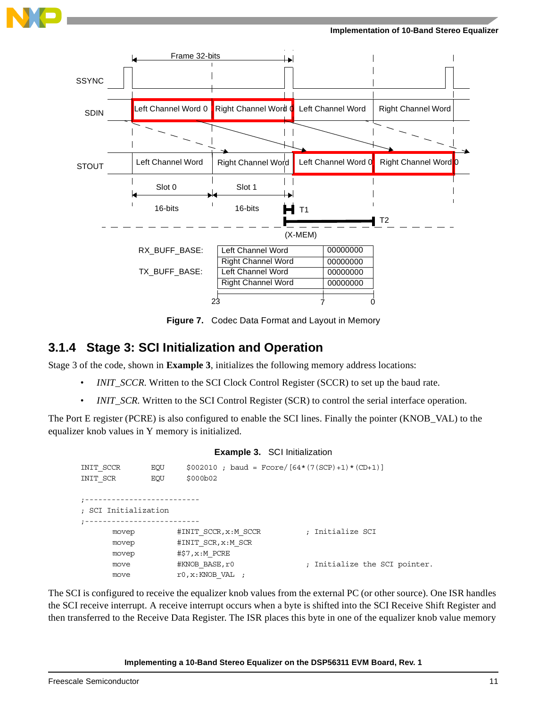





**Figure 7.** Codec Data Format and Layout in Memory

### <span id="page-10-0"></span>**3.1.4 Stage 3: SCI Initialization and Operation**

Stage 3 of the code, shown in **[Example 3](#page-10-1)**, initializes the following memory address locations:

- *INIT\_SCCR*. Written to the SCI Clock Control Register (SCCR) to set up the baud rate.
- *INIT\_SCR*. Written to the SCI Control Register (SCR) to control the serial interface operation.

<span id="page-10-1"></span>The Port E register (PCRE) is also configured to enable the SCI lines. Finally the pointer (KNOB\_VAL) to the equalizer knob values in Y memory is initialized.

### **Example 3.** SCI Initialization

| INIT SCCR            | EOU        | $$002010$ ; baud = Fcore/[64*(7(SCP)+1)*(CD+1)] |                               |  |
|----------------------|------------|-------------------------------------------------|-------------------------------|--|
| INIT SCR             | <b>EOU</b> | \$000b02                                        |                               |  |
|                      |            |                                                 |                               |  |
|                      |            |                                                 |                               |  |
| ; SCI Initialization |            |                                                 |                               |  |
|                      |            |                                                 |                               |  |
| movep                |            | #INIT SCCR, x:M SCCR                            | ; Initialize SCI              |  |
| movep                |            | #INIT SCR, x:M SCR                              |                               |  |
| movep                |            | $\sharp$ \$7, $x:M$ PCRE                        |                               |  |
| move                 |            | #KNOB BASE, r0                                  | ; Initialize the SCI pointer. |  |
| move                 |            | r0, x: KNOB VAL                                 |                               |  |

The SCI is configured to receive the equalizer knob values from the external PC (or other source). One ISR handles the SCI receive interrupt. A receive interrupt occurs when a byte is shifted into the SCI Receive Shift Register and then transferred to the Receive Data Register. The ISR places this byte in one of the equalizer knob value memory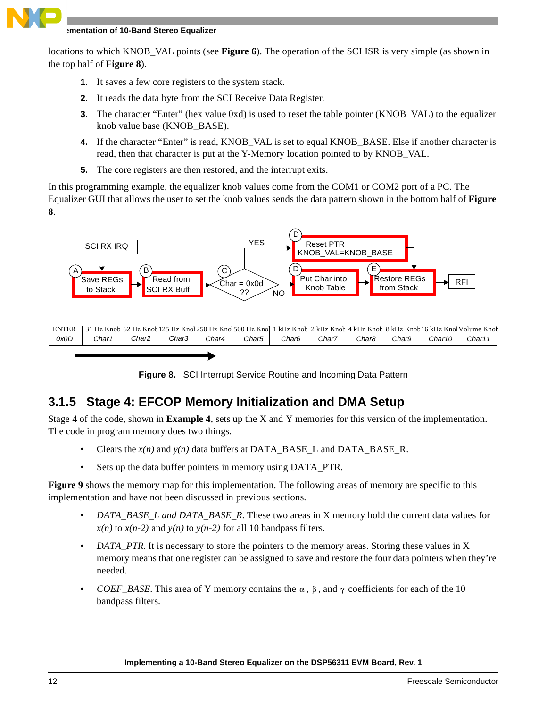

locations to which KNOB\_VAL points (see **[Figure 6](#page-8-0)**). The operation of the SCI ISR is very simple (as shown in the top half of **[Figure 8](#page-11-0)**).

- **1.** It saves a few core registers to the system stack.
- **2.** It reads the data byte from the SCI Receive Data Register.
- **3.** The character "Enter" (hex value 0xd) is used to reset the table pointer (KNOB VAL) to the equalizer knob value base (KNOB\_BASE).
- **4.** If the character "Enter" is read, KNOB\_VAL is set to equal KNOB\_BASE. Else if another character is read, then that character is put at the Y-Memory location pointed to by KNOB\_VAL.
- **5.** The core registers are then restored, and the interrupt exits.

In this programming example, the equalizer knob values come from the COM1 or COM2 port of a PC. The Equalizer GUI that allows the user to set the knob values sends the data pattern shown in the bottom half of **[Figure](#page-11-0)  [8](#page-11-0)**.



**Figure 8.** SCI Interrupt Service Routine and Incoming Data Pattern

### <span id="page-11-0"></span>**3.1.5 Stage 4: EFCOP Memory Initialization and DMA Setup**

Stage 4 of the code, shown in **[Example 4](#page-12-0)**, sets up the X and Y memories for this version of the implementation. The code in program memory does two things.

- Clears the  $x(n)$  and  $y(n)$  data buffers at DATA\_BASE\_L and DATA\_BASE\_R.
- Sets up the data buffer pointers in memory using DATA\_PTR.

**[Figure 9](#page-12-1)** shows the memory map for this implementation. The following areas of memory are specific to this implementation and have not been discussed in previous sections.

- *DATA\_BASE\_L and DATA\_BASE\_R*. These two areas in X memory hold the current data values for  $x(n)$  to  $x(n-2)$  and  $y(n)$  to  $y(n-2)$  for all 10 bandpass filters.
- *DATA\_PTR*. It is necessary to store the pointers to the memory areas. Storing these values in X memory means that one register can be assigned to save and restore the four data pointers when they're needed.
- *COEF\_BASE*. This area of Y memory contains the  $\alpha$ ,  $\beta$ , and  $\gamma$  coefficients for each of the 10 bandpass filters.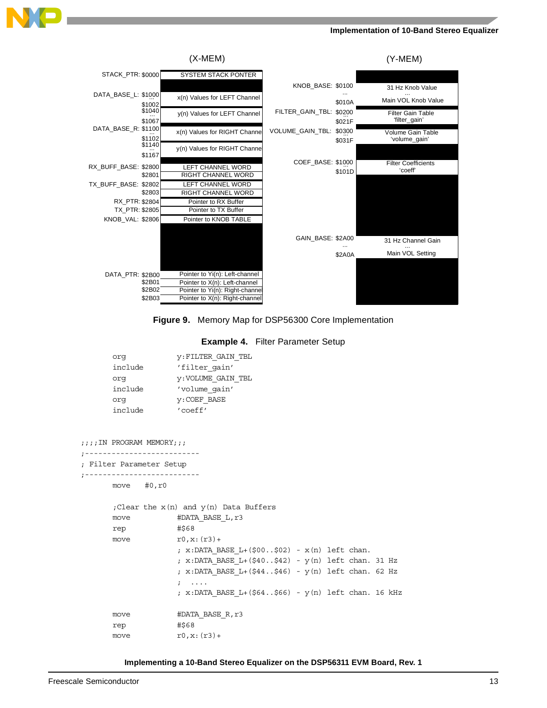





#### **Example 4.** Filter Parameter Setup

<span id="page-12-1"></span><span id="page-12-0"></span>

| orq     | V:FILTER GAIN TBL         |
|---------|---------------------------|
| include | 'filter gain'             |
| orq     | <b>y: VOLUME GAIN TBL</b> |
| include | 'volume qain'             |
| orq     | <b>y:COEF BASE</b>        |
| include | 'coeff'                   |
|         |                           |

```
;;;IN PROGRAM MEMORY;;;
;--------------------------
; Filter Parameter Setup
;--------------------------
      move #0,r0
      ;Clear the x(n) and y(n) Data Buffers
      move #DATA_BASE_L,r3
      rep #$68
      move r0, x: (r3) +; x:DATA_BASE_L+($00..$02) - x(n) left chan.
                   ; x:DATA_BASE_L+($40..$42) - y(n) left chan. 31 Hz
                   ; x:DATA_BASE_L+($44..$46) - y(n) left chan. 62 Hz
                   ; ....
                   ; x:DATA_BASE_L+($64..$66) - y(n) left chan. 16 kHz
      move #DATA_BASE_R,r3
      rep #$68
      move r0, x: (r3)+
```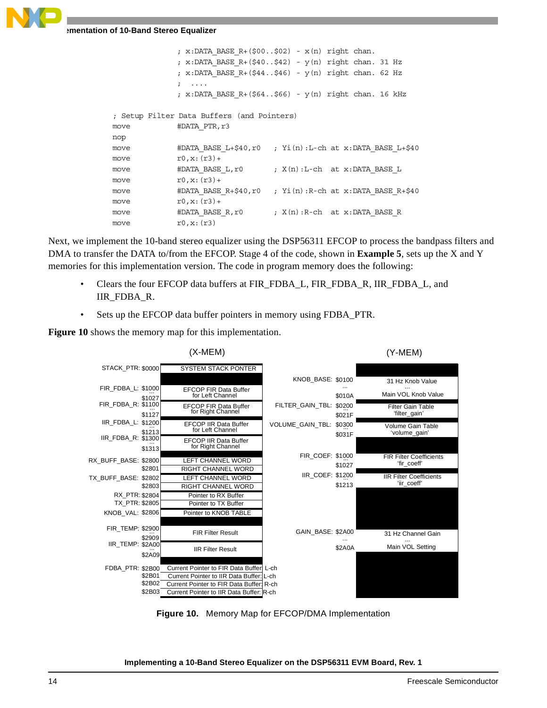

```
; x:DATA BASE R+($00..$02) - x(n) right chan.
             ; x:DATA BASE R+($40..$42) - y(n) right chan. 31 Hz
             ; x:DATA BASE R+($44..$46) - y(n) right chan. 62 Hz
             ; ....
            ; x:DATA BASE R + (564..566) - y(n) right chan. 16 kHz
; Setup Filter Data Buffers (and Pointers)
move #DATA PTR, r3
nop
move \#DATA_BASE_L+$40,r0 ; Yi(n):L-ch at x:DATA_BASE_L+$40
move r0, x: (r3) +move \#DATA_BASE_L,r0 ; X(n):L-ch at x:DATA_BASE_L
move r0.x:(r3)+move \#DATA_BASE_R+$40,r0 ; Yi(n):R-ch at x:DATA_BASE_R+$40
move r0, x: (r3)+
move \#DATA_BASE_R,r0 ; X(n):R-ch at x:DATA_BASE_R
move r0, x: (r3)
```
Next, we implement the 10-band stereo equalizer using the DSP56311 EFCOP to process the bandpass filters and DMA to transfer the DATA to/from the EFCOP. Stage 4 of the code, shown in **[Example 5](#page-14-0)**, sets up the X and Y memories for this implementation version. The code in program memory does the following:

- Clears the four EFCOP data buffers at FIR\_FDBA\_L, FIR\_FDBA\_R, IIR\_FDBA\_L, and IIR\_FDBA\_R.
- Sets up the EFCOP data buffer pointers in memory using FDBA\_PTR.

**[Figure 10](#page-13-0)** shows the memory map for this implementation.



<span id="page-13-0"></span>**Figure 10.** Memory Map for EFCOP/DMA Implementation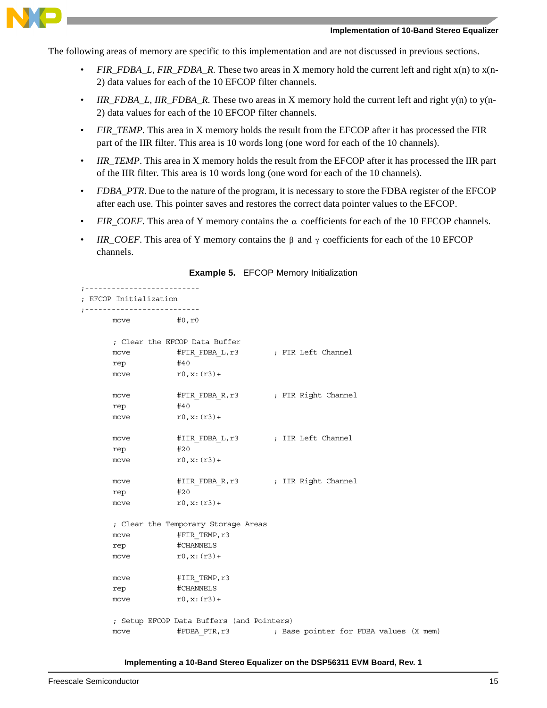

The following areas of memory are specific to this implementation and are not discussed in previous sections.

- *FIR\_FDBA\_L, FIR\_FDBA\_R*. These two areas in X memory hold the current left and right x(n) to x(n-2) data values for each of the 10 EFCOP filter channels.
- *IIR\_FDBA\_L, IIR\_FDBA\_R.* These two areas in X memory hold the current left and right y(n) to y(n-2) data values for each of the 10 EFCOP filter channels.
- *FIR\_TEMP*. This area in X memory holds the result from the EFCOP after it has processed the FIR part of the IIR filter. This area is 10 words long (one word for each of the 10 channels).
- *IIR\_TEMP*. This area in X memory holds the result from the EFCOP after it has processed the IIR part of the IIR filter. This area is 10 words long (one word for each of the 10 channels).
- *FDBA\_PTR*. Due to the nature of the program, it is necessary to store the FDBA register of the EFCOP after each use. This pointer saves and restores the correct data pointer values to the EFCOP.
- *FIR\_COEF*. This area of Y memory contains the  $\alpha$  coefficients for each of the 10 EFCOP channels.
- *IIR\_COEF*. This area of Y memory contains the  $\beta$  and  $\gamma$  coefficients for each of the 10 EFCOP channels.

<span id="page-14-0"></span>

| ;--------------------<br>; EFCOP Initialization |                                                              |  |  |  |  |
|-------------------------------------------------|--------------------------------------------------------------|--|--|--|--|
| move                                            | #0,r0                                                        |  |  |  |  |
|                                                 | ; Clear the EFCOP Data Buffer                                |  |  |  |  |
| move                                            | #FIR_FDBA_L, r3 ( ) FIR Left Channel                         |  |  |  |  |
| rep                                             | #40                                                          |  |  |  |  |
| move                                            | r0,x:(r3)+                                                   |  |  |  |  |
| move                                            | #FIR FDBA R, r3 ; FIR Right Channel                          |  |  |  |  |
| rep                                             | #40                                                          |  |  |  |  |
| move                                            | $r0, x: (r3) +$                                              |  |  |  |  |
| move                                            | #IIR_FDBA_L, r3 ; IIR Left Channel                           |  |  |  |  |
| rep                                             | #20                                                          |  |  |  |  |
| move                                            | $r0, x: (r3) +$                                              |  |  |  |  |
| move                                            | #IIR FDBA R, r3 ; IIR Right Channel                          |  |  |  |  |
| rep                                             | #20                                                          |  |  |  |  |
| move                                            | $r0, x: (r3) +$                                              |  |  |  |  |
|                                                 | ; Clear the Temporary Storage Areas                          |  |  |  |  |
| move                                            | #FIR TEMP,r3                                                 |  |  |  |  |
| rep                                             | #CHANNELS                                                    |  |  |  |  |
| move                                            | $r0, x: (r3) +$                                              |  |  |  |  |
| move                                            | #IIR TEMP, r3                                                |  |  |  |  |
| rep                                             | #CHANNELS                                                    |  |  |  |  |
| move                                            | $r0, x: (r3) +$                                              |  |  |  |  |
|                                                 | ; Setup EFCOP Data Buffers (and Pointers)                    |  |  |  |  |
| move                                            | #FDBA PTR, r3 (X mem) ; Base pointer for FDBA values (X mem) |  |  |  |  |

#### **Example 5.** EFCOP Memory Initialization

**Implementing a 10-Band Stereo Equalizer on the DSP56311 EVM Board, Rev. 1**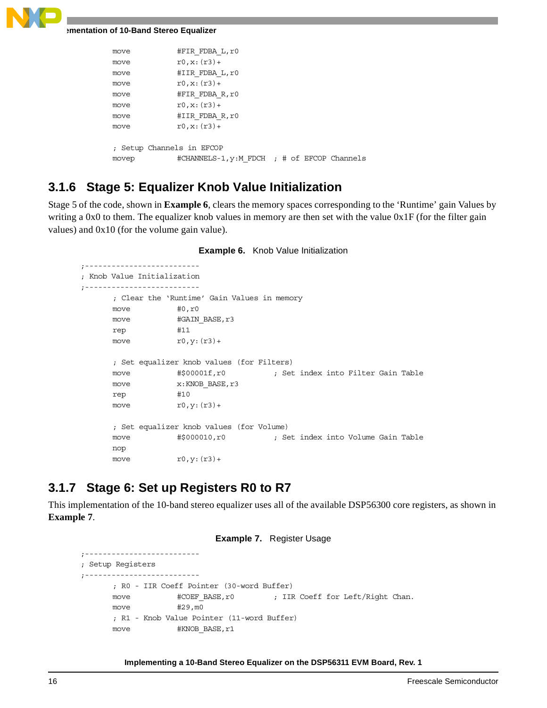```
move #FIR_FDBA_L,r0
move r0, x: (r3) +move #IIR_FDBA_L,r0
move r0, x: (r3) +move #FIR_FDBA_R,r0
move r0, x: (r3)+
move #IIR_FDBA_R,r0
move r0, x: (r3) +; Setup Channels in EFCOP
movep #CHANNELS-1, y:M_FDCH ; # of EFCOP Channels
```
### **3.1.6 Stage 5: Equalizer Knob Value Initialization**

Stage 5 of the code, shown in **[Example 6](#page-15-0)**, clears the memory spaces corresponding to the 'Runtime' gain Values by writing a 0x0 to them. The equalizer knob values in memory are then set with the value  $0x1F$  (for the filter gain values) and 0x10 (for the volume gain value).

```
;--------------------------
; Knob Value Initialization
;--------------------------
     ; Clear the 'Runtime' Gain Values in memory
     move #0, r0
     move #GAIN BASE, r3
     rep #11
     move r0, y: (r3)+
     ; Set equalizer knob values (for Filters)
     move #$00001f,r0 ; Set index into Filter Gain Table
     move x:KNOB BASE, r3
     rep #10
     move r0, y: (r3) +; Set equalizer knob values (for Volume)
     move #$000010,r0 ; Set index into Volume Gain Table
     nop
     move r0, y: (r3)+
```
### **3.1.7 Stage 6: Set up Registers R0 to R7**

<span id="page-15-1"></span>This implementation of the 10-band stereo equalizer uses all of the available DSP56300 core registers, as shown in **[Example 7](#page-15-1)**.

### **Example 7.** Register Usage

```
;--------------------------
; Setup Registers
;--------------------------
      ; R0 - IIR Coeff Pointer (30-word Buffer)
      move \#COEF BASE, r0 ; IIR Coeff for Left/Right Chan.
      move #29,m0
      ; R1 - Knob Value Pointer (11-word Buffer)
      move #KNOB_BASE, r1
```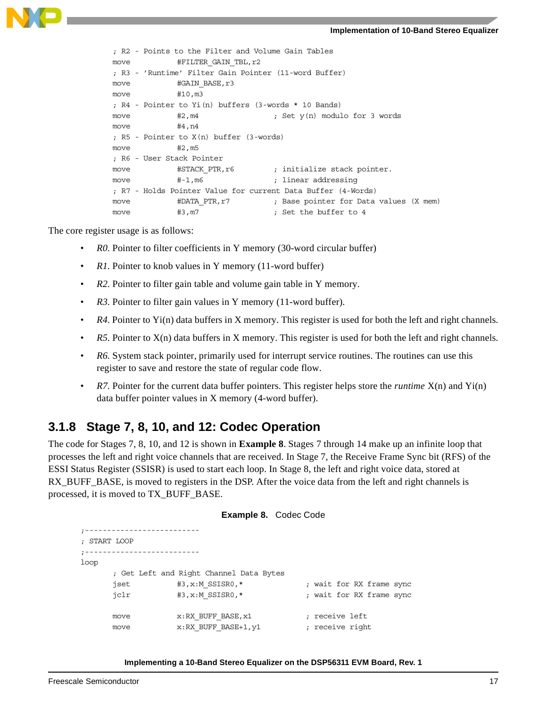

```
; R2 - Points to the Filter and Volume Gain Tables
move #FILTER GAIN TBL, r2
; R3 - 'Runtime' Filter Gain Pointer (11-word Buffer)
move #GAIN BASE, r3
move #10, m3
; R4 - Pointer to Yi(n) buffers (3-words * 10 Bands)
move #2, m4 ; Set y(n) modulo for 3 words
move #4, n4
; R5 - Pointer to X(n) buffer (3-words)
move #2, m5
; R6 - User Stack Pointer
move \qquad #STACK PTR, r6 ; initialize stack pointer.
move #-1, m6 ; linear addressing
; R7 - Holds Pointer Value for current Data Buffer (4-Words)
move #DATA_PTR,r7 ; Base pointer for Data values (X mem)
move #3, m7 ; Set the buffer to 4
```
The core register usage is as follows:

- *R0*. Pointer to filter coefficients in Y memory (30-word circular buffer)
- *R1*. Pointer to knob values in Y memory (11-word buffer)
- *R2*. Pointer to filter gain table and volume gain table in Y memory.
- *R3*. Pointer to filter gain values in Y memory (11-word buffer).
- *R4*. Pointer to Yi(n) data buffers in X memory. This register is used for both the left and right channels.
- *R5*. Pointer to X(n) data buffers in X memory. This register is used for both the left and right channels.
- *R6*. System stack pointer, primarily used for interrupt service routines. The routines can use this register to save and restore the state of regular code flow.
- *R7*. Pointer for the current data buffer pointers. This register helps store the *runtime* X(n) and Yi(n) data buffer pointer values in X memory (4-word buffer).

### **3.1.8 Stage 7, 8, 10, and 12: Codec Operation**

The code for Stages 7, 8, 10, and 12 is shown in **[Example 8](#page-16-0)**. Stages 7 through 14 make up an infinite loop that processes the left and right voice channels that are received. In Stage 7, the Receive Frame Sync bit (RFS) of the ESSI Status Register (SSISR) is used to start each loop. In Stage 8, the left and right voice data, stored at RX\_BUFF\_BASE, is moved to registers in the DSP. After the voice data from the left and right channels is processed, it is moved to TX\_BUFF\_BASE.

```
Example 8. Codec Code
;--------------------------
; START LOOP
;--------------------------
loop
      ; Get Left and Right Channel Data Bytes
      jset \#3, x : M SSISR0, * \qquad \qquad ; wait for RX frame sync
      jclr #3, x:M SSISR0,* ; wait for RX frame sync
     move x: RX BUFF BASE, x1 ; receive left
      move x: RX BUFF_BASE+1, y1 ; receive right
```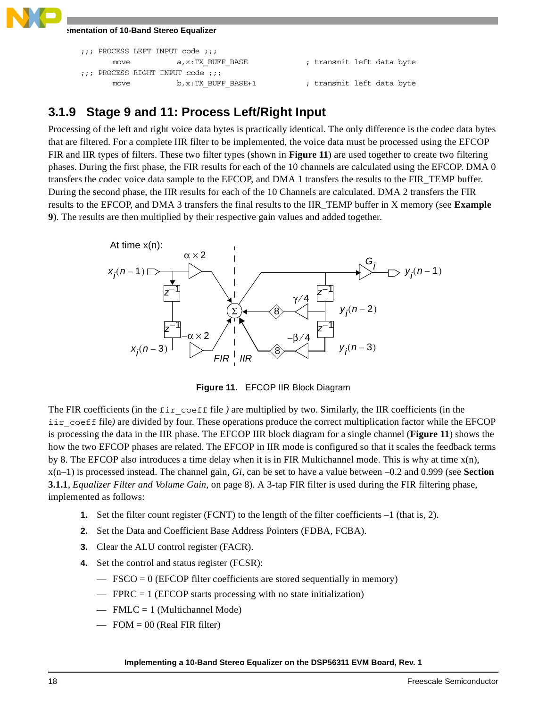```
;;; PROCESS LEFT INPUT code ;;;
     move a,x:TX_BUFF_BASE ; transmit left data byte
;;; PROCESS RIGHT INPUT code ;;;
     move b, x:TX_BUFF_BASE+1 ; transmit left data byte
```
### **3.1.9 Stage 9 and 11: Process Left/Right Input**

Processing of the left and right voice data bytes is practically identical. The only difference is the codec data bytes that are filtered. For a complete IIR filter to be implemented, the voice data must be processed using the EFCOP FIR and IIR types of filters. These two filter types (shown in **[Figure 11](#page-17-0)**) are used together to create two filtering phases. During the first phase, the FIR results for each of the 10 channels are calculated using the EFCOP. DMA 0 transfers the codec voice data sample to the EFCOP, and DMA 1 transfers the results to the FIR\_TEMP buffer. During the second phase, the IIR results for each of the 10 Channels are calculated. DMA 2 transfers the FIR results to the EFCOP, and DMA 3 transfers the final results to the IIR\_TEMP buffer in X memory (see **[Example](#page-18-0)  [9](#page-18-0)**). The results are then multiplied by their respective gain values and added together.



**Figure 11.** EFCOP IIR Block Diagram

<span id="page-17-0"></span>The FIR coefficients (in the fir\_coeff file *)* are multiplied by two. Similarly, the IIR coefficients (in the iir\_coeff file) are divided by four. These operations produce the correct multiplication factor while the EFCOP is processing the data in the IIR phase. The EFCOP IIR block diagram for a single channel (**[Figure 11](#page-17-0)**) shows the how the two EFCOP phases are related. The EFCOP in IIR mode is configured so that it scales the feedback terms by 8. The EFCOP also introduces a time delay when it is in FIR Multichannel mode. This is why at time  $x(n)$ , x(n–1) is processed instead. The channel gain, *Gi*, can be set to have a value between –0.2 and 0.999 (see **[Section](#page-7-1)  3.1.1**, *[Equalizer Filter and Volume Gain](#page-7-1)*, on page 8). A 3-tap FIR filter is used during the FIR filtering phase, implemented as follows:

- **1.** Set the filter count register (FCNT) to the length of the filter coefficients  $-1$  (that is, 2).
- **2.** Set the Data and Coefficient Base Address Pointers (FDBA, FCBA).
- **3.** Clear the ALU control register (FACR).
- **4.** Set the control and status register (FCSR):
	- $-$  FSCO = 0 (EFCOP filter coefficients are stored sequentially in memory)
	- $-$  FPRC = 1 (EFCOP starts processing with no state initialization)
	- $-$  FMLC = 1 (Multichannel Mode)
	- $-$  FOM = 00 (Real FIR filter)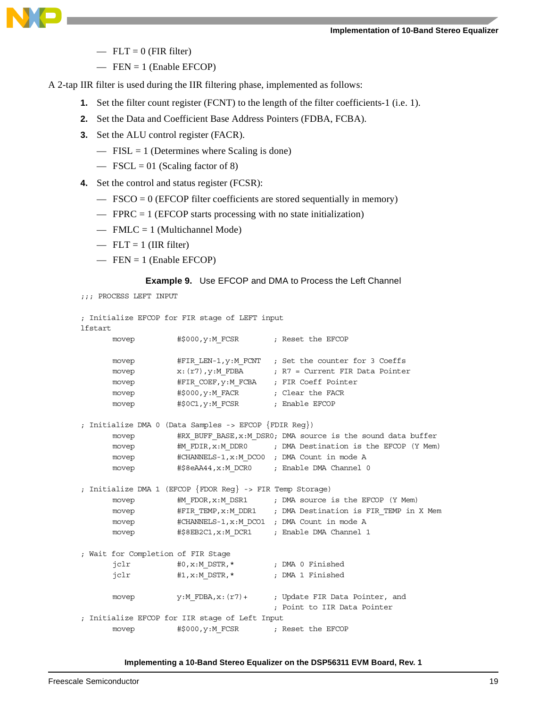

- $-$  FLT = 0 (FIR filter)
- $-$  FEN = 1 (Enable EFCOP)

A 2-tap IIR filter is used during the IIR filtering phase, implemented as follows:

- **1.** Set the filter count register (FCNT) to the length of the filter coefficients-1 (i.e. 1).
- **2.** Set the Data and Coefficient Base Address Pointers (FDBA, FCBA).
- **3.** Set the ALU control register (FACR).
	- $-$  FISL = 1 (Determines where Scaling is done)
	- $-$  FSCL = 01 (Scaling factor of 8)
- **4.** Set the control and status register (FCSR):
	- $-$  FSCO = 0 (EFCOP filter coefficients are stored sequentially in memory)
	- $\equiv$  FPRC = 1 (EFCOP starts processing with no state initialization)
	- $-$  FMLC = 1 (Multichannel Mode)
	- $-$  FLT = 1 (IIR filter)
	- $-$  FEN = 1 (Enable EFCOP)

#### **Example 9.** Use EFCOP and DMA to Process the Left Channel

```
;;; PROCESS LEFT INPUT
```

```
; Initialize EFCOP for FIR stage of LEFT input
lfstart
     movep #$000, y:M_FCSR ; Reset the EFCOP
     movep #FIR LEN-1, y: M FCNT ; Set the counter for 3 Coeffs
     movep x: (r7), y: M FDBA ; R7 = Current FIR Data Pointer
     movep #FIR_COEF,y:M_FCBA ; FIR Coeff Pointer
     movep #$000, y: M_FACR ; Clear the FACR
     movep #$0C1, y:M_FCSR ; Enable EFCOP
; Initialize DMA 0 (Data Samples -> EFCOP {FDIR Reg})
     movep #RX_BUFF_BASE,x:M_DSR0; DMA source is the sound data buffer
     movep #M_FDIR,x:M_DDR0 ; DMA Destination is the EFCOP (Y Mem)
     movep #CHANNELS-1, x:M DCO0 ; DMA Count in mode A
     movep #$8eAA44, x:M DCR0 ; Enable DMA Channel 0
; Initialize DMA 1 (EFCOP {FDOR Reg} -> FIR Temp Storage)
     movep #M_FDOR,x:M_DSR1 ; DMA source is the EFCOP (Y Mem)
     movep #FIR_TEMP, x: M_DDR1 ; DMA Destination is FIR_TEMP in X Mem
     movep #CHANNELS-1, x:M DCO1 ; DMA Count in mode A
     movep #$8EB2C1, x: M DCR1 ; Enable DMA Channel 1
; Wait for Completion of FIR Stage
      jclr #0,x:M_DSTR,* ; DMA 0 Finished
      jclr #1, x:M DSTR, * ; DMA 1 Finished
     movep y:M FDBA,x:(r7)+ ; Update FIR Data Pointer, and
                                     ; Point to IIR Data Pointer
; Initialize EFCOP for IIR stage of Left Input
     movep #$000, y:M_FCSR ; Reset the EFCOP
```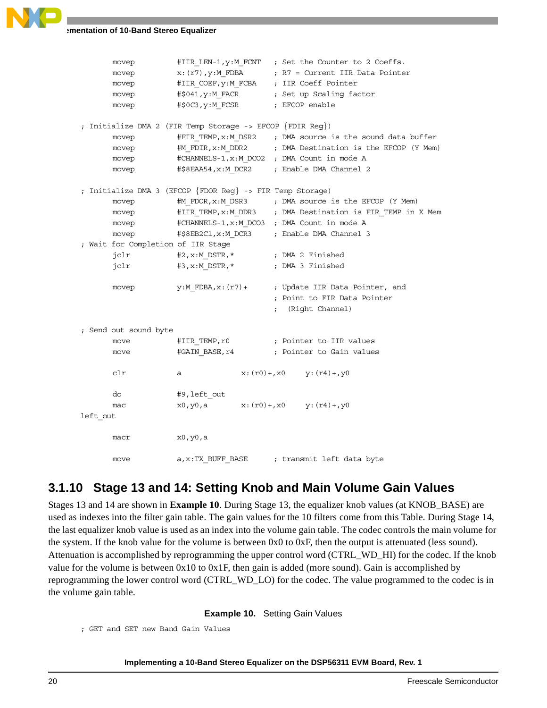

|          | movep                              |                                                           | #IIR_LEN-1, y: M_FCNT ; Set the Counter to 2 Coeffs.        |
|----------|------------------------------------|-----------------------------------------------------------|-------------------------------------------------------------|
|          | movep                              | x: (r7), y:M_FDBA                                         | ; R7 = Current IIR Data Pointer                             |
|          | movep                              | #IIR_COEF, y:M_FCBA                                       | ; IIR Coeff Pointer                                         |
|          | movep                              | #\$041,y:M FACR                                           | ; Set up Scaling factor                                     |
|          | movep                              | #\$0C3,y:M FCSR                                           | ; EFCOP enable                                              |
|          |                                    |                                                           |                                                             |
|          |                                    | ; Initialize DMA 2 (FIR Temp Storage -> EFCOP {FDIR Reg}) |                                                             |
|          | movep                              |                                                           | #FIR_TEMP, x:M_DSR2 ; DMA source is the sound data buffer   |
|          | movep                              | #M FDIR,x:M DDR2                                          | ; DMA Destination is the EFCOP (Y Mem)                      |
|          | movep                              |                                                           | #CHANNELS-1, x: M_DCO2 ; DMA Count in mode A                |
|          | movep                              | #\$8EAA54,x:M DCR2                                        | ; Enable DMA Channel 2                                      |
|          |                                    | ; Initialize DMA 3 (EFCOP {FDOR Reg} -> FIR Temp Storage) |                                                             |
|          | movep                              |                                                           | #M_FDOR, x:M_DSR3 ; DMA source is the EFCOP (Y Mem)         |
|          | movep                              |                                                           | #IIR TEMP, x: M DDR3 ; DMA Destination is FIR TEMP in X Mem |
|          | movep                              |                                                           | #CHANNELS-1, x:M DCO3 ; DMA Count in mode A                 |
|          | movep                              | #\$8EB2C1,x:M DCR3                                        | ; Enable DMA Channel 3                                      |
|          | ; Wait for Completion of IIR Stage |                                                           |                                                             |
|          | jclr                               | #2,x:M DSTR,*                                             | ; DMA 2 Finished                                            |
|          | jclr                               | #3,x:M_DSTR,*                                             | ; DMA 3 Finished                                            |
|          |                                    |                                                           |                                                             |
|          | movep                              | $y:M$ FDBA, $x:(r7)+$                                     | ; Update IIR Data Pointer, and                              |
|          |                                    |                                                           | ; Point to FIR Data Pointer                                 |
|          |                                    |                                                           | (Right Channel)                                             |
|          |                                    |                                                           |                                                             |
|          | ; Send out sound byte              |                                                           |                                                             |
|          | move                               | #IIR TEMP,r0                                              | ; Pointer to IIR values                                     |
|          | move                               | #GAIN BASE,r4                                             | ; Pointer to Gain values                                    |
|          |                                    |                                                           |                                                             |
|          | clr                                | $x: (r0) +$ , $x0$<br>а                                   | y: (r4) +, y0                                               |
|          | do                                 | #9, left out                                              |                                                             |
|          | mac                                | x0,y0,a                                                   | $x: (r0) + x0$ y: $(r4) + y0$                               |
| left out |                                    |                                                           |                                                             |
|          |                                    |                                                           |                                                             |
|          | macr                               | x0, y0, a                                                 |                                                             |
|          | move                               | a,x:TX BUFF BASE                                          | ; transmit left data byte                                   |

### **3.1.10 Stage 13 and 14: Setting Knob and Main Volume Gain Values**

Stages 13 and 14 are shown in **[Example 10](#page-19-0)**. During Stage 13, the equalizer knob values (at KNOB\_BASE) are used as indexes into the filter gain table. The gain values for the 10 filters come from this Table. During Stage 14, the last equalizer knob value is used as an index into the volume gain table. The codec controls the main volume for the system. If the knob value for the volume is between 0x0 to 0xF, then the output is attenuated (less sound). Attenuation is accomplished by reprogramming the upper control word (CTRL\_WD\_HI) for the codec. If the knob value for the volume is between  $0x10$  to  $0x1F$ , then gain is added (more sound). Gain is accomplished by reprogramming the lower control word (CTRL\_WD\_LO) for the codec. The value programmed to the codec is in the volume gain table.

**Example 10.** Setting Gain Values

```
; GET and SET new Band Gain Values
```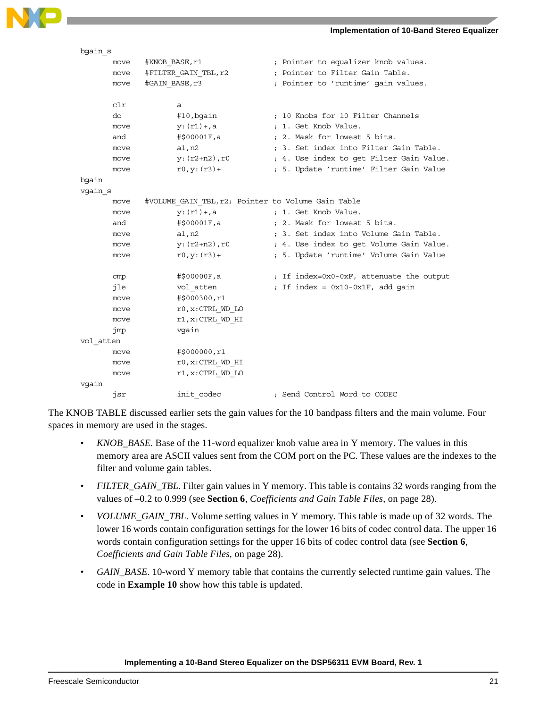

| bgain s   |      |                                                    |                                          |
|-----------|------|----------------------------------------------------|------------------------------------------|
|           | move | #KNOB BASE, r1                                     | ; Pointer to equalizer knob values.      |
|           | move | #FILTER GAIN TBL, r2                               | ; Pointer to Filter Gain Table.          |
|           | move | #GAIN BASE, r3                                     | ; Pointer to 'runtime' gain values.      |
|           |      |                                                    |                                          |
|           | clr  | а                                                  |                                          |
|           | do   | #10, bgain                                         | ; 10 Knobs for 10 Filter Channels        |
|           | move | $y: (r1) +$ , a                                    | ; 1. Get Knob Value.                     |
|           | and  | #\$00001F,a                                        | : 2. Mask for lowest 5 bits.             |
|           | move | a1, n2                                             | ; 3. Set index into Filter Gain Table.   |
|           | move | y: (r2+n2), r0                                     | ; 4. Use index to get Filter Gain Value. |
|           | move | $r0, y: (r3) +$                                    | ; 5. Update 'runtime' Filter Gain Value  |
| bgain     |      |                                                    |                                          |
| vgain s   |      |                                                    |                                          |
|           | move | #VOLUME GAIN TBL, r2; Pointer to Volume Gain Table |                                          |
|           | move | $y: (r1) + a$                                      | ; 1. Get Knob Value.                     |
|           | and  | #\$00001F,a                                        | ; 2. Mask for lowest 5 bits.             |
|           | move | a1, n2                                             | ; 3. Set index into Volume Gain Table.   |
|           | move | y: (r2+n2), r0                                     | ; 4. Use index to get Volume Gain Value. |
|           | move | $r0, y: (r3) +$                                    | ; 5. Update 'runtime' Volume Gain Value  |
|           |      |                                                    |                                          |
|           | cmp  | #\$00000F,a                                        | ; If index=0x0-0xF, attenuate the output |
|           | jle  | vol atten                                          | ; If index = 0x10-0x1F, add gain         |
|           | move | #\$000300,r1                                       |                                          |
|           | move | r0, x: CTRL WD LO                                  |                                          |
|           | move | $r1, x:$ CTRL WD HI                                |                                          |
|           | jmp  | vqain                                              |                                          |
| vol atten |      |                                                    |                                          |
|           | move | #\$000000,r1                                       |                                          |
|           | move | $r0, x:$ CTRL WD HI                                |                                          |
|           | move | $r1, x:$ CTRL WD LO                                |                                          |
| vgain     |      |                                                    |                                          |
|           | jsr  | init codec                                         | ; Send Control Word to CODEC             |

The KNOB TABLE discussed earlier sets the gain values for the 10 bandpass filters and the main volume. Four spaces in memory are used in the stages.

- *KNOB BASE*. Base of the 11-word equalizer knob value area in Y memory. The values in this memory area are ASCII values sent from the COM port on the PC. These values are the indexes to the filter and volume gain tables.
- *FILTER\_GAIN\_TBL*. Filter gain values in Y memory. This table is contains 32 words ranging from the values of –0.2 to 0.999 (see **Section 6**, *[Coefficients and Gain Table Files](#page-27-0)*, on page 28).
- *VOLUME\_GAIN\_TBL*. Volume setting values in Y memory. This table is made up of 32 words. The lower 16 words contain configuration settings for the lower 16 bits of codec control data. The upper 16 words contain configuration settings for the upper 16 bits of codec control data (see **[Section 6](#page-27-0)**, *[Coefficients and Gain Table Files](#page-27-0)*, on page 28).
- *GAIN\_BASE*. 10-word Y memory table that contains the currently selected runtime gain values. The code in **[Example 10](#page-19-0)** show how this table is updated.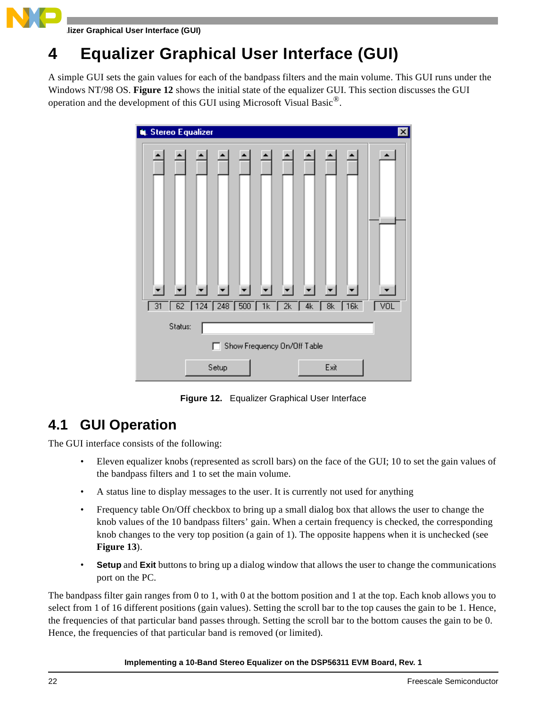**Equalizer Graphical User Interface (GUI)**

## **4 Equalizer Graphical User Interface (GUI)**

A simple GUI sets the gain values for each of the bandpass filters and the main volume. This GUI runs under the Windows NT/98 OS. **[Figure 12](#page-21-0)** shows the initial state of the equalizer GUI. This section discusses the GUI operation and the development of this GUI using Microsoft Visual Basic®.



**Figure 12.** Equalizer Graphical User Interface

## <span id="page-21-0"></span>**4.1 GUI Operation**

The GUI interface consists of the following:

- Eleven equalizer knobs (represented as scroll bars) on the face of the GUI; 10 to set the gain values of the bandpass filters and 1 to set the main volume.
- A status line to display messages to the user. It is currently not used for anything
- Frequency table On/Off checkbox to bring up a small dialog box that allows the user to change the knob values of the 10 bandpass filters' gain. When a certain frequency is checked, the corresponding knob changes to the very top position (a gain of 1). The opposite happens when it is unchecked (see **[Figure 13](#page-22-0)**).
- **Setup** and **Exit** buttons to bring up a dialog window that allows the user to change the communications port on the PC.

The bandpass filter gain ranges from 0 to 1, with 0 at the bottom position and 1 at the top. Each knob allows you to select from 1 of 16 different positions (gain values). Setting the scroll bar to the top causes the gain to be 1. Hence, the frequencies of that particular band passes through. Setting the scroll bar to the bottom causes the gain to be 0. Hence, the frequencies of that particular band is removed (or limited).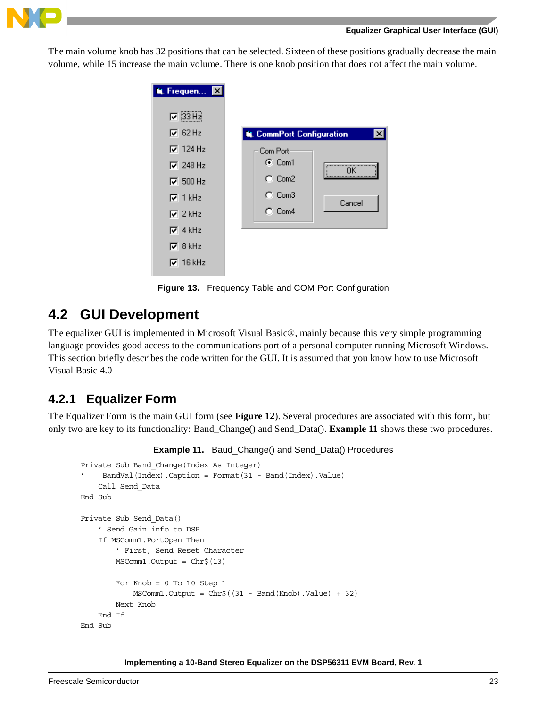

### **Equalizer Graphical User Interface (GUI)**

The main volume knob has 32 positions that can be selected. Sixteen of these positions gradually decrease the main volume, while 15 increase the main volume. There is one knob position that does not affect the main volume.

| <b>N.</b> Frequen <b>XI</b>        |                                                  |
|------------------------------------|--------------------------------------------------|
| $\nabla$ 33 Hz<br>$\nabla$ 62 Hz   | <b>UL</b> CommPort Configuration<br>$\mathsf{x}$ |
| $\nabla$ 124 Hz                    | Com Port<br>$G$ Com1                             |
| $\nabla$ 248 Hz<br>$\nabla$ 500 Hz | <br>$C$ Com2                                     |
| $\nabla$ 1 kHz                     | $C_{L}$ Com3<br>Cancel                           |
| $\nabla$ 2 kHz<br>$\nabla$ 4 kHz   | $C_{\cdot}$ Com4                                 |
| $\nabla$ 8 kHz                     |                                                  |
| $\nabla$ 16 kHz                    |                                                  |

**Figure 13.** Frequency Table and COM Port Configuration

### <span id="page-22-0"></span>**4.2 GUI Development**

The equalizer GUI is implemented in Microsoft Visual Basic®, mainly because this very simple programming language provides good access to the communications port of a personal computer running Microsoft Windows. This section briefly describes the code written for the GUI. It is assumed that you know how to use Microsoft Visual Basic 4.0

### **4.2.1 Equalizer Form**

<span id="page-22-1"></span>The Equalizer Form is the main GUI form (see **[Figure 12](#page-21-0)**). Several procedures are associated with this form, but only two are key to its functionality: Band\_Change() and Send\_Data(). **[Example 11](#page-22-1)** shows these two procedures.

```
Example 11. Baud_Change() and Send_Data() Procedures
```

```
Private Sub Band_Change(Index As Integer)
     BandVal(Index).Caption = Format(31 - Band(Index).Value)
     Call Send_Data
End Sub
Private Sub Send_Data()
     ' Send Gain info to DSP
     If MSComm1.PortOpen Then
         ' First, Send Reset Character
         MSComm1.Output = Chr$(13)
        For Knob = 0 To 10 Step 1
             MSComm1.Output = Chr$((31 - Band(Knob).Value) + 32)
         Next Knob
     End If
End Sub
```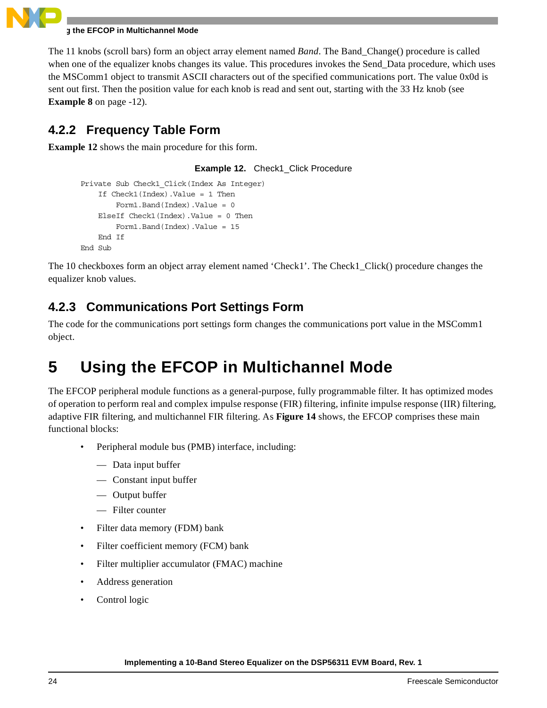

### **Using the EFCOP in Multichannel Mode**

The 11 knobs (scroll bars) form an object array element named *Band*. The Band\_Change() procedure is called when one of the equalizer knobs changes its value. This procedures invokes the Send\_Data procedure, which uses the MSComm1 object to transmit ASCII characters out of the specified communications port. The value 0x0d is sent out first. Then the position value for each knob is read and sent out, starting with the 33 Hz knob (see **[Example 8](#page-11-0)** on page -12).

### **4.2.2 Frequency Table Form**

<span id="page-23-0"></span>**[Example 12](#page-23-0)** shows the main procedure for this form.

**Example 12.** Check1\_Click Procedure

```
Private Sub Check1_Click(Index As Integer)
    If Check1(Index).Value = 1 Then
         Form1.Band(Index).Value = 0
    ElseIf Check1(Index).Value = 0 Then
         Form1.Band(Index).Value = 15
    End If
End Sub
```
The 10 checkboxes form an object array element named 'Check1'. The Check1\_Click() procedure changes the equalizer knob values.

### **4.2.3 Communications Port Settings Form**

The code for the communications port settings form changes the communications port value in the MSComm1 object.

## **5 Using the EFCOP in Multichannel Mode**

The EFCOP peripheral module functions as a general-purpose, fully programmable filter. It has optimized modes of operation to perform real and complex impulse response (FIR) filtering, infinite impulse response (IIR) filtering, adaptive FIR filtering, and multichannel FIR filtering. As **[Figure 14](#page-24-0)** shows, the EFCOP comprises these main functional blocks:

- Peripheral module bus (PMB) interface, including:
	- Data input buffer
	- Constant input buffer
	- Output buffer
	- Filter counter
- Filter data memory (FDM) bank
- Filter coefficient memory (FCM) bank
- Filter multiplier accumulator (FMAC) machine
- Address generation
- Control logic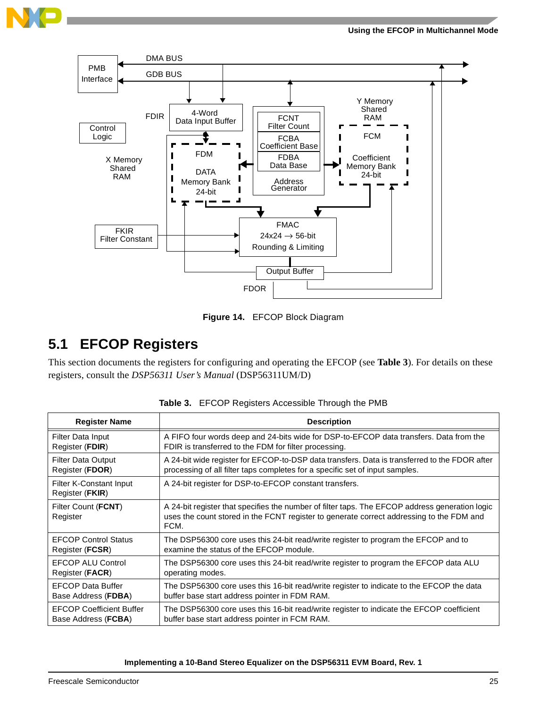



**Figure 14.** EFCOP Block Diagram

### <span id="page-24-0"></span>**5.1 EFCOP Registers**

This section documents the registers for configuring and operating the EFCOP (see **[Table 3](#page-24-1)**). For details on these registers, consult the *DSP56311 User's Manual* (DSP56311UM/D)

<span id="page-24-1"></span>

| <b>Register Name</b>                       | <b>Description</b>                                                                                                                                                                                 |
|--------------------------------------------|----------------------------------------------------------------------------------------------------------------------------------------------------------------------------------------------------|
| Filter Data Input                          | A FIFO four words deep and 24-bits wide for DSP-to-EFCOP data transfers. Data from the                                                                                                             |
| Register (FDIR)                            | FDIR is transferred to the FDM for filter processing.                                                                                                                                              |
| <b>Filter Data Output</b>                  | A 24-bit wide register for EFCOP-to-DSP data transfers. Data is transferred to the FDOR after                                                                                                      |
| Register (FDOR)                            | processing of all filter taps completes for a specific set of input samples.                                                                                                                       |
| Filter K-Constant Input<br>Register (FKIR) | A 24-bit register for DSP-to-EFCOP constant transfers.                                                                                                                                             |
| Filter Count (FCNT)<br>Register            | A 24-bit register that specifies the number of filter taps. The EFCOP address generation logic<br>uses the count stored in the FCNT register to generate correct addressing to the FDM and<br>FCM. |
| <b>EFCOP Control Status</b>                | The DSP56300 core uses this 24-bit read/write register to program the EFCOP and to                                                                                                                 |
| Register ( <b>FCSR</b> )                   | examine the status of the EFCOP module.                                                                                                                                                            |
| <b>EFCOP ALU Control</b>                   | The DSP56300 core uses this 24-bit read/write register to program the EFCOP data ALU                                                                                                               |
| Register (FACR)                            | operating modes.                                                                                                                                                                                   |
| <b>EFCOP Data Buffer</b>                   | The DSP56300 core uses this 16-bit read/write register to indicate to the EFCOP the data                                                                                                           |
| Base Address (FDBA)                        | buffer base start address pointer in FDM RAM.                                                                                                                                                      |
| <b>EFCOP Coefficient Buffer</b>            | The DSP56300 core uses this 16-bit read/write register to indicate the EFCOP coefficient                                                                                                           |
| Base Address (FCBA)                        | buffer base start address pointer in FCM RAM.                                                                                                                                                      |

**Table 3.** EFCOP Registers Accessible Through the PMB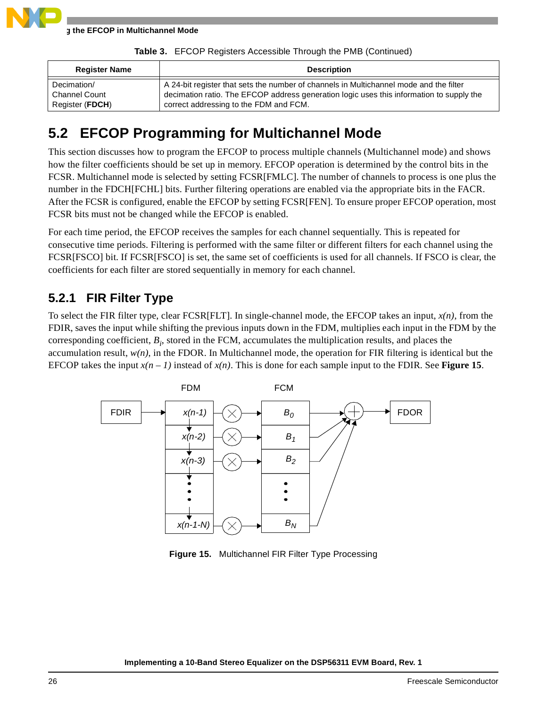

|  |  | Table 3. EFCOP Registers Accessible Through the PMB (Continued) |  |
|--|--|-----------------------------------------------------------------|--|
|--|--|-----------------------------------------------------------------|--|

| <b>Register Name</b> | <b>Description</b>                                                                       |
|----------------------|------------------------------------------------------------------------------------------|
| Decimation/          | A 24-bit register that sets the number of channels in Multichannel mode and the filter   |
| <b>Channel Count</b> | decimation ratio. The EFCOP address generation logic uses this information to supply the |
| Register (FDCH)      | correct addressing to the FDM and FCM.                                                   |

## **5.2 EFCOP Programming for Multichannel Mode**

This section discusses how to program the EFCOP to process multiple channels (Multichannel mode) and shows how the filter coefficients should be set up in memory. EFCOP operation is determined by the control bits in the FCSR. Multichannel mode is selected by setting FCSR[FMLC]. The number of channels to process is one plus the number in the FDCH[FCHL] bits. Further filtering operations are enabled via the appropriate bits in the FACR. After the FCSR is configured, enable the EFCOP by setting FCSR[FEN]. To ensure proper EFCOP operation, most FCSR bits must not be changed while the EFCOP is enabled.

For each time period, the EFCOP receives the samples for each channel sequentially. This is repeated for consecutive time periods. Filtering is performed with the same filter or different filters for each channel using the FCSR[FSCO] bit. If FCSR[FSCO] is set, the same set of coefficients is used for all channels. If FSCO is clear, the coefficients for each filter are stored sequentially in memory for each channel.

### **5.2.1 FIR Filter Type**

To select the FIR filter type, clear FCSR[FLT]. In single-channel mode, the EFCOP takes an input, *x(n)*, from the FDIR, saves the input while shifting the previous inputs down in the FDM, multiplies each input in the FDM by the corresponding coefficient, *Bi* , stored in the FCM, accumulates the multiplication results, and places the accumulation result,  $w(n)$ , in the FDOR. In Multichannel mode, the operation for FIR filtering is identical but the EFCOP takes the input  $x(n - 1)$  instead of  $x(n)$ . This is done for each sample input to the FDIR. See **[Figure 15](#page-25-0)**.



<span id="page-25-0"></span>**Figure 15.** Multichannel FIR Filter Type Processing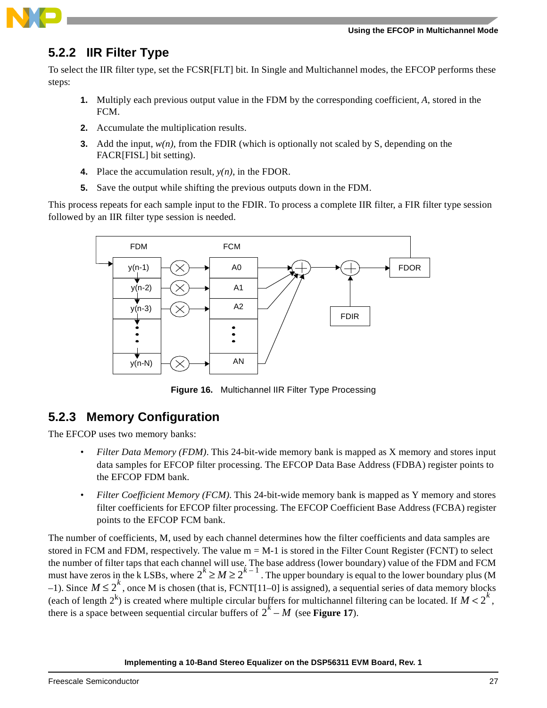

### **5.2.2 IIR Filter Type**

To select the IIR filter type, set the FCSR[FLT] bit. In Single and Multichannel modes, the EFCOP performs these steps:

- **1.** Multiply each previous output value in the FDM by the corresponding coefficient, *A*, stored in the FCM.
- **2.** Accumulate the multiplication results.
- **3.** Add the input,  $w(n)$ , from the FDIR (which is optionally not scaled by S, depending on the FACR[FISL] bit setting).
- **4.** Place the accumulation result,  $y(n)$ , in the FDOR.
- **5.** Save the output while shifting the previous outputs down in the FDM.

This process repeats for each sample input to the FDIR. To process a complete IIR filter, a FIR filter type session followed by an IIR filter type session is needed.



**Figure 16.** Multichannel IIR Filter Type Processing

### **5.2.3 Memory Configuration**

The EFCOP uses two memory banks:

- *Filter Data Memory (FDM)*. This 24-bit-wide memory bank is mapped as X memory and stores input data samples for EFCOP filter processing. The EFCOP Data Base Address (FDBA) register points to the EFCOP FDM bank.
- *Filter Coefficient Memory (FCM)*. This 24-bit-wide memory bank is mapped as Y memory and stores filter coefficients for EFCOP filter processing. The EFCOP Coefficient Base Address (FCBA) register points to the EFCOP FCM bank.

The number of coefficients, M, used by each channel determines how the filter coefficients and data samples are stored in FCM and FDM, respectively. The value  $m = M-1$  is stored in the Filter Count Register (FCNT) to select the number of filter taps that each channel will use. The base address (lower boundary) value of the FDM and FCM must have zeros in the k LSBs, where  $2^k \ge M \ge 2^{k-1}$ . The upper boundary is equal to the lower boundary plus (M  $-1$ ). Since  $M \le 2^k$ , once M is chosen (that is, FCNT[11–0] is assigned), a sequential series of data memory blocks (each of length  $2^k$ ) is created where multiple circular buffers for multichannel filtering can be located. If  $M < 2^k$ , there is a space between sequential circular buffers of  $2^k - M$  (see **[Figure 17](#page-27-1)**).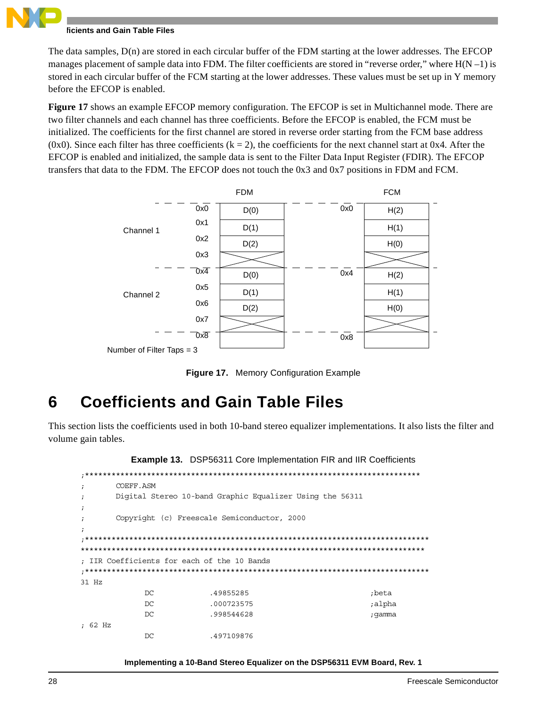### **Coefficients and Gain Table Files**

The data samples, D(n) are stored in each circular buffer of the FDM starting at the lower addresses. The EFCOP manages placement of sample data into FDM. The filter coefficients are stored in "reverse order," where  $H(N-1)$  is stored in each circular buffer of the FCM starting at the lower addresses. These values must be set up in Y memory before the EFCOP is enabled.

**[Figure 17](#page-27-1)** shows an example EFCOP memory configuration. The EFCOP is set in Multichannel mode. There are two filter channels and each channel has three coefficients. Before the EFCOP is enabled, the FCM must be initialized. The coefficients for the first channel are stored in reverse order starting from the FCM base address (0x0). Since each filter has three coefficients ( $k = 2$ ), the coefficients for the next channel start at 0x4. After the EFCOP is enabled and initialized, the sample data is sent to the Filter Data Input Register (FDIR). The EFCOP transfers that data to the FDM. The EFCOP does not touch the 0x3 and 0x7 positions in FDM and FCM.



**Figure 17.** Memory Configuration Example

## <span id="page-27-1"></span><span id="page-27-0"></span>**6 Coefficients and Gain Table Files**

This section lists the coefficients used in both 10-band stereo equalizer implementations. It also lists the filter and volume gain tables.

**Example 13.** DSP56311 Core Implementation FIR and IIR Coefficients

| $\ddot{ }$ | COEFF.ASM                                   |                                                          |        |  |  |
|------------|---------------------------------------------|----------------------------------------------------------|--------|--|--|
| $\ddot{i}$ |                                             | Digital Stereo 10-band Graphic Equalizer Using the 56311 |        |  |  |
| $\ddot{i}$ |                                             |                                                          |        |  |  |
| $\ddot{ }$ | Copyright (c) Freescale Semiconductor, 2000 |                                                          |        |  |  |
| $\ddot{i}$ |                                             |                                                          |        |  |  |
|            |                                             |                                                          |        |  |  |
|            |                                             |                                                          |        |  |  |
|            |                                             | : IIR Coefficients for each of the 10 Bands              |        |  |  |
|            |                                             |                                                          |        |  |  |
| $31$ Hz    |                                             |                                                          |        |  |  |
|            | DC.                                         | .49855285                                                | :beta  |  |  |
|            | DC                                          | .000723575                                               | ;alpha |  |  |
|            | DC.                                         | .998544628                                               | ;qamma |  |  |
| : 62 Hz    |                                             |                                                          |        |  |  |
|            | DC                                          | .497109876                                               |        |  |  |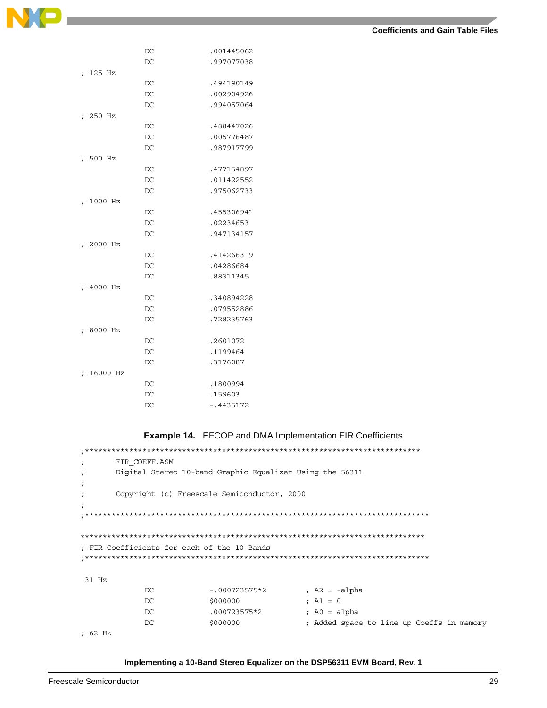|                                 | DC | .001445062  |
|---------------------------------|----|-------------|
|                                 | DC | .997077038  |
| 125 Hz                          |    |             |
| $\ddot{i}$                      | DC | .494190149  |
|                                 |    |             |
|                                 | DC | .002904926  |
|                                 | DC | .994057064  |
| 250 Hz<br>$\ddot{ }$            |    |             |
|                                 | DC | .488447026  |
|                                 | DC | .005776487  |
|                                 | DC | .987917799  |
| 500 Hz<br>$\ddot{i}$            |    |             |
|                                 | DC | .477154897  |
|                                 | DC | .011422552  |
|                                 | DC | .975062733  |
| 1000 Hz<br>$\ddot{ }$           |    |             |
|                                 | DC | .455306941  |
|                                 | DC | .02234653   |
|                                 | DC | .947134157  |
| 2000 Hz<br>$\ddot{i}$           |    |             |
|                                 | DC | .414266319  |
|                                 | DC | .04286684   |
|                                 |    |             |
|                                 | DC | .88311345   |
| 4000 Hz<br>$\ddot{\phantom{0}}$ |    |             |
|                                 | DC | .340894228  |
|                                 | DC | .079552886  |
|                                 | DC | .728235763  |
| 8000 Hz<br>$\ddot{i}$           |    |             |
|                                 | DC | .2601072    |
|                                 | DC | .1199464    |
|                                 | DC | .3176087    |
| 16000 Hz<br>$\ddot{i}$          |    |             |
|                                 | DC | .1800994    |
|                                 | DC | .159603     |
|                                 | DC | $-14435172$ |

**Example 14.** EFCOP and DMA Implementation FIR Coefficients

| $\ddot{i}$ | FIR COEFF.ASM                                            |                 |                                           |
|------------|----------------------------------------------------------|-----------------|-------------------------------------------|
| $\ddot{ }$ | Digital Stereo 10-band Graphic Equalizer Using the 56311 |                 |                                           |
| $\ddot{i}$ |                                                          |                 |                                           |
| $\ddot{ }$ | Copyright (c) Freescale Semiconductor, 2000              |                 |                                           |
| $\ddot{i}$ |                                                          |                 |                                           |
|            |                                                          |                 |                                           |
|            |                                                          |                 |                                           |
|            |                                                          |                 |                                           |
|            | ; FIR Coefficients for each of the 10 Bands              |                 |                                           |
|            |                                                          |                 |                                           |
|            |                                                          |                 |                                           |
| $31$ Hz    |                                                          |                 |                                           |
|            | DC.                                                      | $-.000723575*2$ | ; $A2 = -alpha$                           |
|            | DC                                                       | \$000000        | ; $AI = 0$                                |
|            | DC                                                       | .000723575*2    | ; $A0 = alpha$                            |
|            | DC                                                       | \$000000        | ; Added space to line up Coeffs in memory |
| : 62 Hz    |                                                          |                 |                                           |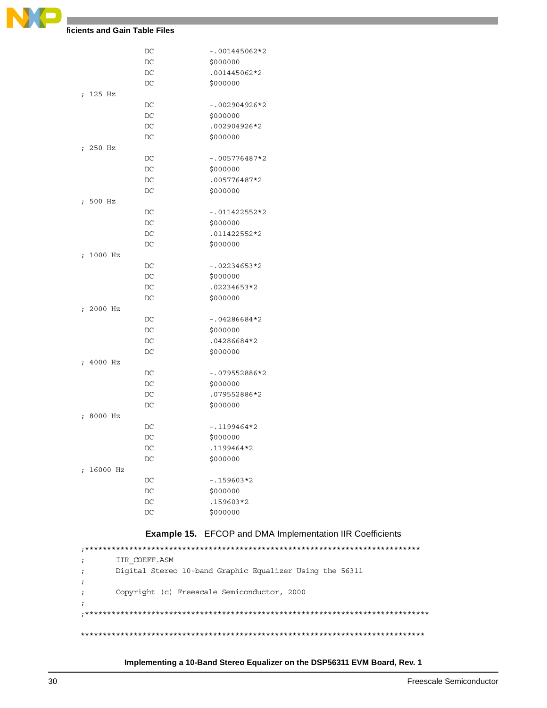

### **Coefficients and Gain Table Files**

|                        | DC | $-.001445062*2$ |
|------------------------|----|-----------------|
|                        | DC | \$000000        |
|                        | DC | .001445062*2    |
|                        | DC | \$000000        |
| ; 125 Hz               |    |                 |
|                        | DC | -.002904926*2   |
|                        | DC | \$000000        |
|                        | DC | .002904926*2    |
|                        | DC | \$000000        |
| ; 250 Hz               |    |                 |
|                        | DC | -.005776487*2   |
|                        | DC | \$000000        |
|                        | DC | .005776487*2    |
|                        | DC | \$000000        |
| ; 500 Hz               |    |                 |
|                        | DC | -.011422552*2   |
|                        | DC | \$000000        |
|                        |    |                 |
|                        | DC | .011422552*2    |
|                        | DC | \$000000        |
| ; 1000 Hz              |    |                 |
|                        | DC | $-.02234653*2$  |
|                        | DC | \$000000        |
|                        | DC | .02234653*2     |
|                        | DC | \$000000        |
| ; 2000 Hz              |    |                 |
|                        | DC | $-.04286684*2$  |
|                        | DC | \$000000        |
|                        | DC | .04286684*2     |
|                        | DC | \$000000        |
| ; 4000 Hz              |    |                 |
|                        | DC | -.079552886*2   |
|                        | DC | \$000000        |
|                        | DC | .079552886*2    |
|                        | DC | \$000000        |
| ; 8000 Hz              |    |                 |
|                        | DC | -.1199464*2     |
|                        | DC | \$000000        |
|                        | DC | 1199464*2       |
|                        | DC | \$000000        |
| 16000 Hz<br>$\ddot{ }$ |    |                 |
|                        | DC | $-159603*2$     |
|                        | DC | \$000000        |
|                        | DC | .159603*2       |
|                        | DC | \$000000        |
|                        |    |                 |

### **Example 15.** EFCOP and DMA Implementation IIR Coefficients

;\*\*\*\*\*\*\*\*\*\*\*\*\*\*\*\*\*\*\*\*\*\*\*\*\*\*\*\*\*\*\*\*\*\*\*\*\*\*\*\*\*\*\*\*\*\*\*\*\*\*\*\*\*\*\*\*\*\*\*\*\*\*\*\*\*\*\*\*\*\*\*\*\*\*\*\* ; IIR\_COEFF.ASM ; Digital Stereo 10-band Graphic Equalizer Using the 56311 ; ; Copyright (c) Freescale Semiconductor, 2000 ; ;\*\*\*\*\*\*\*\*\*\*\*\*\*\*\*\*\*\*\*\*\*\*\*\*\*\*\*\*\*\*\*\*\*\*\*\*\*\*\*\*\*\*\*\*\*\*\*\*\*\*\*\*\*\*\*\*\*\*\*\*\*\*\*\*\*\*\*\*\*\*\*\*\*\*\*\*\*\* \*\*\*\*\*\*\*\*\*\*\*\*\*\*\*\*\*\*\*\*\*\*\*\*\*\*\*\*\*\*\*\*\*\*\*\*\*\*\*\*\*\*\*\*\*\*\*\*\*\*\*\*\*\*\*\*\*\*\*\*\*\*\*\*\*\*\*\*\*\*\*\*\*\*\*\*\*\*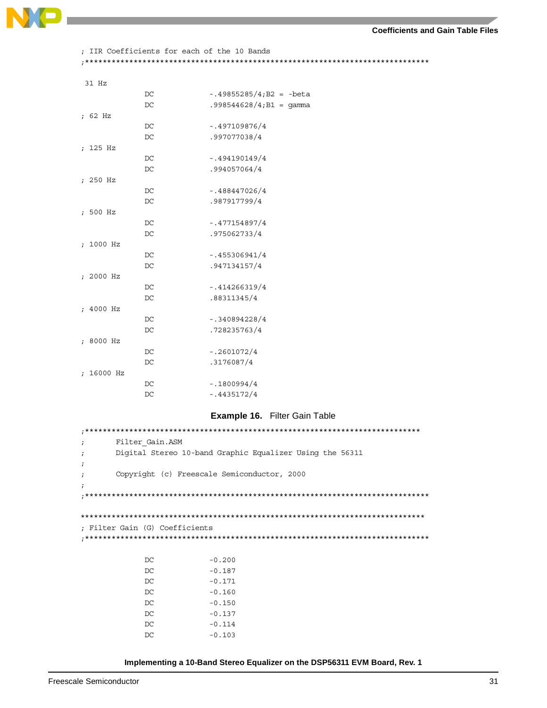

<span id="page-30-0"></span>

|            |                                | ; IIR Coefficients for each of the 10 Bands              |
|------------|--------------------------------|----------------------------------------------------------|
|            |                                |                                                          |
| 31 Hz      |                                |                                                          |
|            | DC                             | $-.49855285/4$ ; B2 = -beta                              |
|            | DC                             | $.998544628/4$ ; B1 = gamma                              |
| ; 62 Hz    |                                |                                                          |
|            | DC                             | $-.497109876/4$                                          |
|            | DC                             | .997077038/4                                             |
| ; 125 Hz   |                                |                                                          |
|            | DC                             | $-.494190149/4$                                          |
|            | DC                             | .994057064/4                                             |
| ; 250 Hz   |                                |                                                          |
|            | DC                             | $-.488447026/4$                                          |
|            | DC                             | .987917799/4                                             |
| ; 500 Hz   |                                |                                                          |
|            | DC                             | $-.477154897/4$                                          |
|            | DC                             | .975062733/4                                             |
| ; 1000 Hz  |                                |                                                          |
|            | DC                             | $-.455306941/4$                                          |
|            | DC                             | .947134157/4                                             |
| ; 2000 Hz  |                                |                                                          |
|            | DC                             | $-.414266319/4$                                          |
|            | DC                             | .88311345/4                                              |
| ; 4000 Hz  |                                |                                                          |
|            | DC                             | $-.340894228/4$                                          |
|            | DC                             | .728235763/4                                             |
| ; 8000 Hz  |                                |                                                          |
|            | DC                             | $-.2601072/4$                                            |
|            | DC                             | .3176087/4                                               |
| ; 16000 Hz |                                |                                                          |
|            | DC                             | $-1800994/4$                                             |
|            | DC                             | $-.4435172/4$                                            |
|            |                                | <b>Example 16. Filter Gain Table</b>                     |
|            |                                |                                                          |
| i          | Filter Gain.ASM                |                                                          |
| $\ddot{i}$ |                                | Digital Stereo 10-band Graphic Equalizer Using the 56311 |
|            |                                |                                                          |
| $\ddot{ }$ |                                | Copyright (c) Freescale Semiconductor, 2000              |
|            |                                |                                                          |
|            |                                |                                                          |
|            |                                |                                                          |
|            |                                |                                                          |
|            | ; Filter Gain (G) Coefficients |                                                          |
|            |                                |                                                          |
|            |                                |                                                          |
|            | DC                             | $-0.200$                                                 |
|            | DC                             | $-0.187$                                                 |
|            | DC                             | $-0.171$                                                 |
|            | DC                             | $-0.160$                                                 |
|            | DC                             | $-0.150$                                                 |
|            | DC<br>DC                       | $-0.137$                                                 |
|            | DC                             | $-0.114$<br>$-0.103$                                     |
|            |                                |                                                          |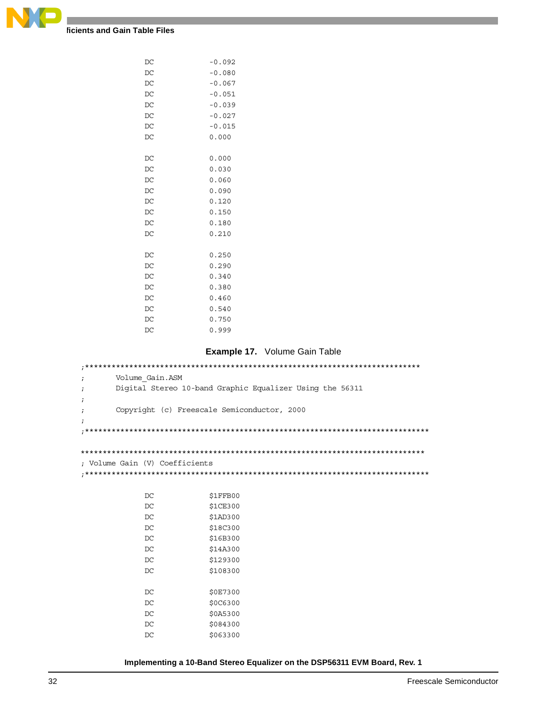

| DC | $-0.092$ |
|----|----------|
| DC | $-0.080$ |
| DC | $-0.067$ |
| DC | $-0.051$ |
| DC | $-0.039$ |
| DC | $-0.027$ |
| DC | $-0.015$ |
| DC | 0.000    |
|    |          |
| DC | 0.000    |
| DC | 0.030    |
| DC | 0.060    |
| DC | 0.090    |
| DC | 0.120    |
| DC | 0.150    |
| DC | 0.180    |
| DC | 0.210    |
|    |          |
| DC | 0.250    |
| DC | 0.290    |
| DC | 0.340    |
| DC | 0.380    |
| DC | 0.460    |
| DC | 0.540    |
| DC | 0.750    |
| DC | 0.999    |

#### **Example 17.** Volume Gain Table

<span id="page-31-0"></span>;\*\*\*\*\*\*\*\*\*\*\*\*\*\*\*\*\*\*\*\*\*\*\*\*\*\*\*\*\*\*\*\*\*\*\*\*\*\*\*\*\*\*\*\*\*\*\*\*\*\*\*\*\*\*\*\*\*\*\*\*\*\*\*\*\*\*\*\*\*\*\*\*\*\*\*\* ; Volume\_Gain.ASM ; Digital Stereo 10-band Graphic Equalizer Using the 56311 ; ; Copyright (c) Freescale Semiconductor, 2000 ; ;\*\*\*\*\*\*\*\*\*\*\*\*\*\*\*\*\*\*\*\*\*\*\*\*\*\*\*\*\*\*\*\*\*\*\*\*\*\*\*\*\*\*\*\*\*\*\*\*\*\*\*\*\*\*\*\*\*\*\*\*\*\*\*\*\*\*\*\*\*\*\*\*\*\*\*\*\*\* \*\*\*\*\*\*\*\*\*\*\*\*\*\*\*\*\*\*\*\*\*\*\*\*\*\*\*\*\*\*\*\*\*\*\*\*\*\*\*\*\*\*\*\*\*\*\*\*\*\*\*\*\*\*\*\*\*\*\*\*\*\*\*\*\*\*\*\*\*\*\*\*\*\*\*\*\*\* ; Volume Gain (V) Coefficients ;\*\*\*\*\*\*\*\*\*\*\*\*\*\*\*\*\*\*\*\*\*\*\*\*\*\*\*\*\*\*\*\*\*\*\*\*\*\*\*\*\*\*\*\*\*\*\*\*\*\*\*\*\*\*\*\*\*\*\*\*\*\*\*\*\*\*\*\*\*\*\*\*\*\*\*\*\*\* DC \$1FFB00 DC \$1CE300 DC \$1AD300 DC \$18C300 DC \$16B300 DC \$14A300

| \$129300 |
|----------|
| \$108300 |
|          |
| \$0E7300 |
| \$0C6300 |
| \$0A5300 |
| \$084300 |
| \$063300 |
|          |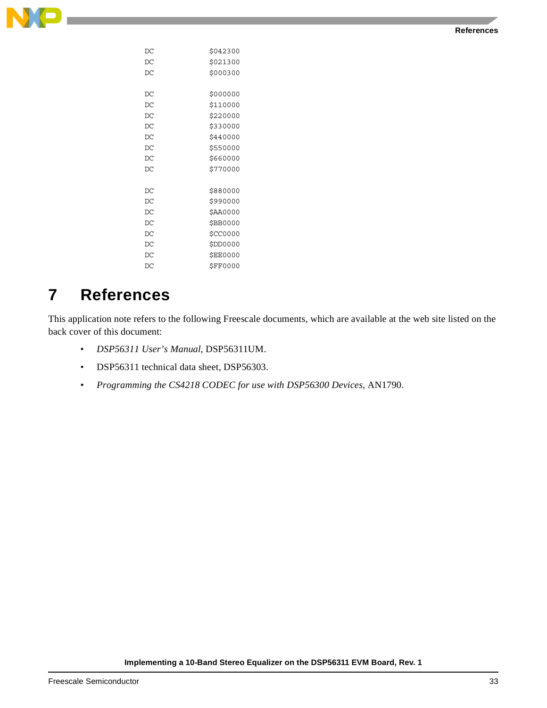

| DC | \$042300        |
|----|-----------------|
| DC | \$021300        |
| DC | \$000300        |
|    |                 |
| DC | \$000000        |
| DC | \$110000        |
| DC | \$220000        |
| DC | \$330000        |
| DC | \$440000        |
| DC | \$550000        |
| DC | \$660000        |
| DC | \$770000        |
|    |                 |
| DC | \$880000        |
| DC | \$990000        |
| DC | \$AA0000        |
| DC | \$BB0000        |
| DC | \$CC0000        |
| DC | \$DD0000        |
| DC | <b>\$EE0000</b> |
| DC | \$FF0000        |
|    |                 |

## **7 References**

This application note refers to the following Freescale documents, which are available at the web site listed on the back cover of this document:

- *DSP56311 User's Manual*, DSP56311UM.
- DSP56311 technical data sheet, DSP56303.
- *Programming the CS4218 CODEC for use with DSP56300 Devices*, AN1790.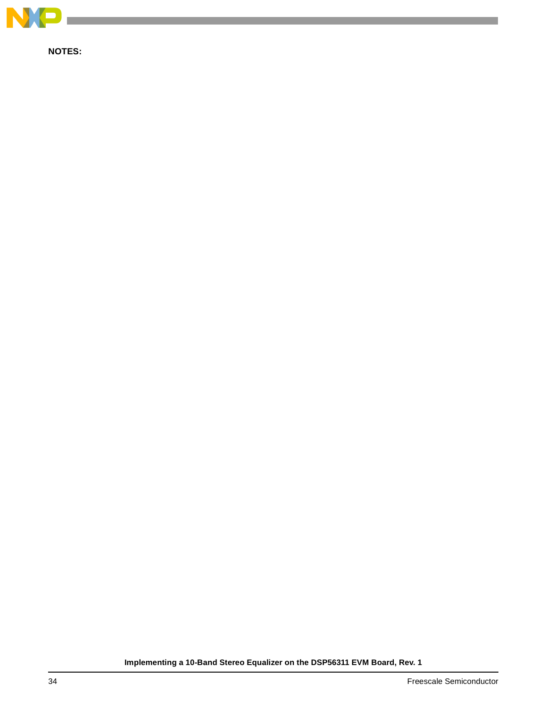

**NOTES:**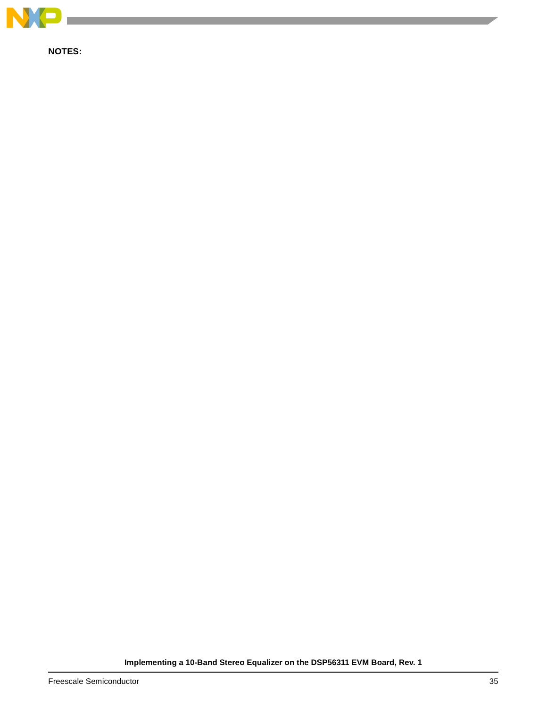

**NOTES:**